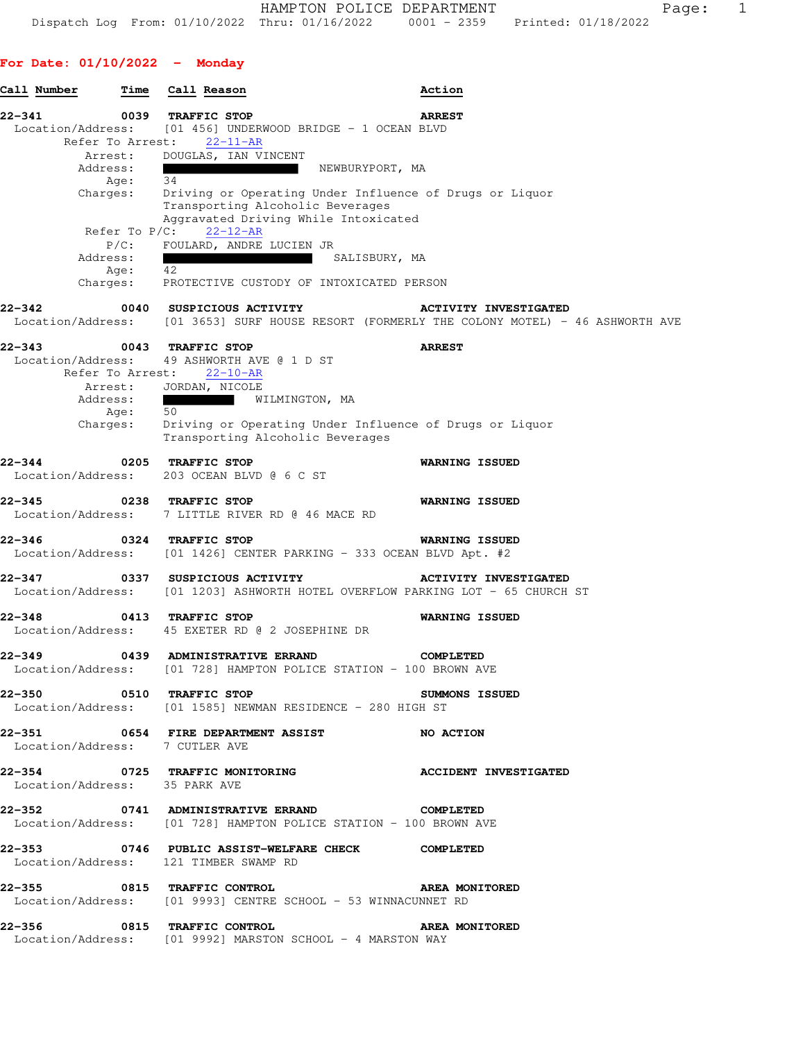## **For Date: 01/10/2022 - Monday**

|        | Call Number                    | <b>Time</b>      |    | Call Reason                                                                                                           |                                                                                                        | Action                                                                                                    |  |
|--------|--------------------------------|------------------|----|-----------------------------------------------------------------------------------------------------------------------|--------------------------------------------------------------------------------------------------------|-----------------------------------------------------------------------------------------------------------|--|
| 22-341 | Location/Address:              | 0039             |    | <b>TRAFFIC STOP</b>                                                                                                   | [01 456] UNDERWOOD BRIDGE - 1 OCEAN BLVD                                                               | <b>ARREST</b>                                                                                             |  |
|        | Refer To Arrest:               | Arrest:          |    | 22-11-AR<br>DOUGLAS, IAN VINCENT                                                                                      |                                                                                                        |                                                                                                           |  |
|        | Address:                       | Age:             | 34 | <u> La Carlo de la Carlo de la Carlo de la Carlo de la Carlo de la Carlo de la Carlo de la Carlo de la Carlo de l</u> | NEWBURYPORT, MA                                                                                        |                                                                                                           |  |
|        | Charges:                       |                  |    |                                                                                                                       | Transporting Alcoholic Beverages<br>Aggravated Driving While Intoxicated                               | Driving or Operating Under Influence of Drugs or Liquor                                                   |  |
|        |                                | Refer To $P/C$ : |    | $22 - 12 - AR$                                                                                                        |                                                                                                        |                                                                                                           |  |
|        | Address:                       | $P/C$ :          |    | FOULARD, ANDRE LUCIEN JR                                                                                              | SALISBURY, MA                                                                                          |                                                                                                           |  |
|        |                                | Age:             | 42 |                                                                                                                       | Charges: PROTECTIVE CUSTODY OF INTOXICATED PERSON                                                      |                                                                                                           |  |
| 22–342 | Location/Address:              |                  |    |                                                                                                                       | 0040 SUSPICIOUS ACTIVITY                                                                               | <b>ACTIVITY INVESTIGATED</b><br>[01 3653] SURF HOUSE RESORT (FORMERLY THE COLONY MOTEL) - 46 ASHWORTH AVE |  |
| 22–343 |                                |                  |    | 0043 TRAFFIC STOP                                                                                                     |                                                                                                        | <b>ARREST</b>                                                                                             |  |
|        | Location/Address:              |                  |    | 49 ASHWORTH AVE @ 1 D ST<br>Refer To Arrest: 22-10-AR                                                                 |                                                                                                        |                                                                                                           |  |
|        | Address:                       |                  |    | Arrest: JORDAN, NICOLE<br>WILMINGTON, MA                                                                              |                                                                                                        |                                                                                                           |  |
|        |                                | Age:             | 50 |                                                                                                                       |                                                                                                        |                                                                                                           |  |
|        | Charges:                       |                  |    |                                                                                                                       | Transporting Alcoholic Beverages                                                                       | Driving or Operating Under Influence of Drugs or Liquor                                                   |  |
| 22-344 | Location/Address:              | 0205             |    | <b>TRAFFIC STOP</b><br>203 OCEAN BLVD @ 6 C ST                                                                        |                                                                                                        | <b>WARNING ISSUED</b>                                                                                     |  |
| 22–345 | Location/Address:              |                  |    | 0238 TRAFFIC STOP<br>7 LITTLE RIVER RD @ 46 MACE RD                                                                   |                                                                                                        | <b>WARNING ISSUED</b>                                                                                     |  |
| 22-346 | Location/Address:              |                  |    | 0324 TRAFFIC STOP                                                                                                     | $[01 1426]$ CENTER PARKING - 333 OCEAN BLVD Apt. #2                                                    | <b>WARNING ISSUED</b>                                                                                     |  |
| 22–347 | Location/Address:              |                  |    | 0337 SUSPICIOUS ACTIVITY                                                                                              |                                                                                                        | <b>ACTIVITY INVESTIGATED</b><br>[01 1203] ASHWORTH HOTEL OVERFLOW PARKING LOT - 65 CHURCH ST              |  |
| 22-348 |                                |                  |    | 0413 TRAFFIC STOP<br>Location/Address: 45 EXETER RD @ 2 JOSEPHINE DR                                                  |                                                                                                        | <b>WARNING ISSUED</b>                                                                                     |  |
| 22–349 | Location/Address:              |                  |    | 0439 ADMINISTRATIVE ERRAND                                                                                            | [01 728] HAMPTON POLICE STATION - 100 BROWN AVE                                                        | <b>COMPLETED</b>                                                                                          |  |
|        |                                |                  |    | 22-350 0510 TRAFFIC STOP                                                                                              | Location/Address: [01 1585] NEWMAN RESIDENCE - 280 HIGH ST                                             | <b>SUMMONS ISSUED</b>                                                                                     |  |
|        | Location/Address: 7 CUTLER AVE |                  |    |                                                                                                                       | 22-351 0654 FIRE DEPARTMENT ASSIST NO ACTION                                                           |                                                                                                           |  |
|        | Location/Address: 35 PARK AVE  |                  |    |                                                                                                                       |                                                                                                        | 22-354 0725 TRAFFIC MONITORING <b>ACCIDENT INVESTIGATED</b>                                               |  |
|        |                                |                  |    |                                                                                                                       | 22-352 0741 ADMINISTRATIVE ERRAND<br>Location/Address: [01 728] HAMPTON POLICE STATION - 100 BROWN AVE | <b>COMPLETED</b>                                                                                          |  |
|        |                                |                  |    | Location/Address: 121 TIMBER SWAMP RD                                                                                 | 22-353 0746 PUBLIC ASSIST-WELFARE CHECK COMPLETED                                                      |                                                                                                           |  |
|        |                                |                  |    | 22-355 0815 TRAFFIC CONTROL                                                                                           | Location/Address: [01 9993] CENTRE SCHOOL - 53 WINNACUNNET RD                                          | <b>AREA MONITORED</b>                                                                                     |  |
|        |                                |                  |    | 22-356 0815 TRAFFIC CONTROL                                                                                           | Location/Address: [01 9992] MARSTON SCHOOL - 4 MARSTON WAY                                             | <b>AREA MONITORED</b>                                                                                     |  |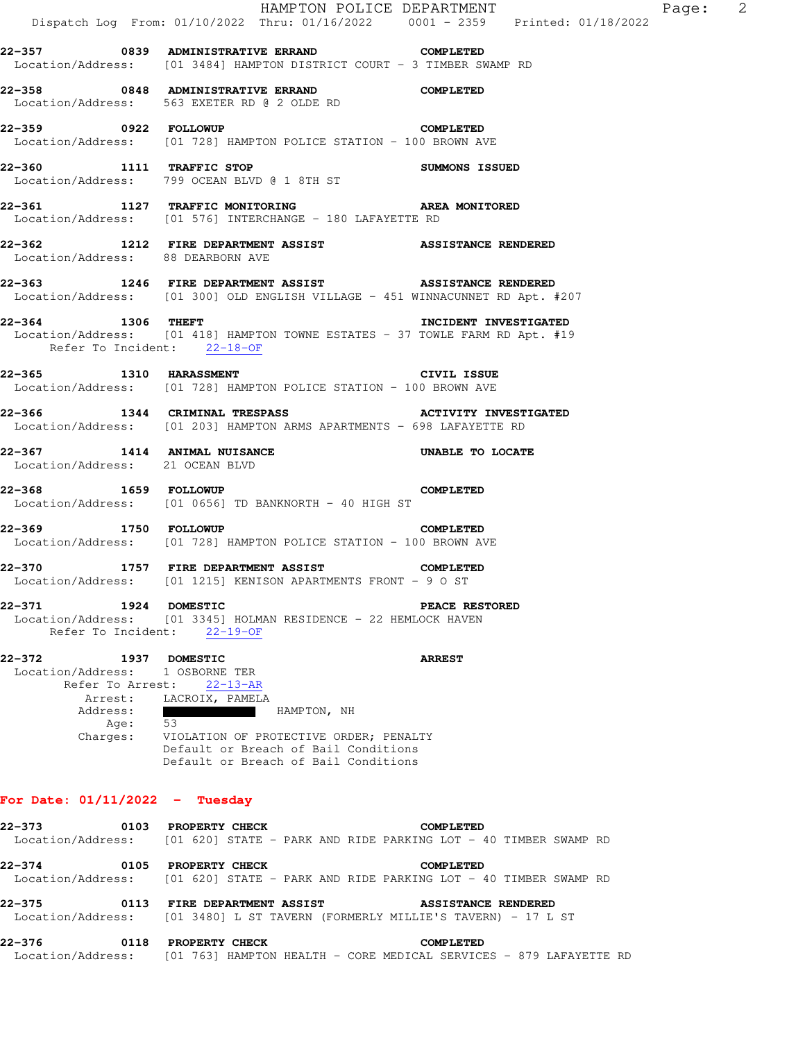|                                                                                                     |                                                                                                                                                                                                                                      |                                                                                                                                 | HAMPTON POLICE DEPARTMENT<br>Dispatch Log From: 01/10/2022 Thru: 01/16/2022 0001 - 2359 Printed: 01/18/2022                             | Page: 2 |  |
|-----------------------------------------------------------------------------------------------------|--------------------------------------------------------------------------------------------------------------------------------------------------------------------------------------------------------------------------------------|---------------------------------------------------------------------------------------------------------------------------------|-----------------------------------------------------------------------------------------------------------------------------------------|---------|--|
| 22-357 6839 ADMINISTRATIVE ERRAND COMPLETED                                                         |                                                                                                                                                                                                                                      |                                                                                                                                 | Location/Address: [01 3484] HAMPTON DISTRICT COURT - 3 TIMBER SWAMP RD                                                                  |         |  |
| 22-358 0848 ADMINISTRATIVE ERRAND COMPLETED<br>Location/Address: 563 EXETER RD @ 2 OLDE RD          |                                                                                                                                                                                                                                      |                                                                                                                                 |                                                                                                                                         |         |  |
| 22-359 0922 FOLLOWUP<br>Location/Address: [01 728] HAMPTON POLICE STATION - 100 BROWN AVE           |                                                                                                                                                                                                                                      |                                                                                                                                 | <b>COMPLETED</b>                                                                                                                        |         |  |
| 22-360 1111 TRAFFIC STOP<br>Location/Address: 799 OCEAN BLVD @ 1 8TH ST                             |                                                                                                                                                                                                                                      |                                                                                                                                 | SUMMONS ISSUED                                                                                                                          |         |  |
| Location/Address: [01 576] INTERCHANGE - 180 LAFAYETTE RD                                           |                                                                                                                                                                                                                                      |                                                                                                                                 | 22-361 1127 TRAFFIC MONITORING AREA MONITORED                                                                                           |         |  |
| Location/Address: 88 DEARBORN AVE                                                                   |                                                                                                                                                                                                                                      |                                                                                                                                 | 22-362 1212 FIRE DEPARTMENT ASSIST ASSISTANCE RENDERED                                                                                  |         |  |
|                                                                                                     |                                                                                                                                                                                                                                      |                                                                                                                                 | 22-363 1246 FIRE DEPARTMENT ASSIST ASSISTANCE RENDERED<br>Location/Address: [01 300] OLD ENGLISH VILLAGE - 451 WINNACUNNET RD Apt. #207 |         |  |
| 22-364 1306 THEFT                                                                                   | Refer To Incident: 22-18-OF                                                                                                                                                                                                          |                                                                                                                                 | INCIDENT INVESTIGATED<br>Location/Address: [01 418] HAMPTON TOWNE ESTATES - 37 TOWLE FARM RD Apt. #19                                   |         |  |
| 22-365 1310 HARASSMENT<br>Location/Address: [01 728] HAMPTON POLICE STATION - 100 BROWN AVE         |                                                                                                                                                                                                                                      |                                                                                                                                 | CIVIL ISSUE                                                                                                                             |         |  |
|                                                                                                     |                                                                                                                                                                                                                                      |                                                                                                                                 | 22-366 1344 CRIMINAL TRESPASS ACTIVITY INVESTIGATED<br>Location/Address: [01 203] HAMPTON ARMS APARTMENTS - 698 LAFAYETTE RD            |         |  |
| 22-367 1414 ANIMAL NUISANCE<br>Location/Address: 21 OCEAN BLVD                                      |                                                                                                                                                                                                                                      |                                                                                                                                 | UNABLE TO LOCATE                                                                                                                        |         |  |
| 22-368 1659 FOLLOWUP<br>Location/Address: [01 0656] TD BANKNORTH - 40 HIGH ST                       |                                                                                                                                                                                                                                      |                                                                                                                                 | <b>COMPLETED</b>                                                                                                                        |         |  |
| 22-369 1750 FOLLOWUP<br>Location/Address: [01 728] HAMPTON POLICE STATION - 100 BROWN AVE           |                                                                                                                                                                                                                                      |                                                                                                                                 | <b>COMPLETED</b>                                                                                                                        |         |  |
| 22-370 1757 FIRE DEPARTMENT ASSIST<br>Location/Address: [01 1215] KENISON APARTMENTS FRONT - 9 O ST |                                                                                                                                                                                                                                      |                                                                                                                                 | <b>COMPLETED</b>                                                                                                                        |         |  |
| 22-371                                                                                              | 1924 DOMESTIC<br>Refer To Incident: 22-19-OF                                                                                                                                                                                         | Location/Address: [01 3345] HOLMAN RESIDENCE - 22 HEMLOCK HAVEN                                                                 | <b>PEACE RESTORED</b>                                                                                                                   |         |  |
| 22–372<br>Address:                                                                                  | 1937 DOMESTIC<br>Location/Address: 1 OSBORNE TER<br>Refer To Arrest: 22-13-AR<br>Arrest: LACROIX, PAMELA<br><u> De Santo de Santo de Santo de Santo de Santo de Santo de Santo de Santo de Santo de Santo de Santo de Santo de S</u> | HAMPTON, NH                                                                                                                     | <b>ARREST</b>                                                                                                                           |         |  |
|                                                                                                     | Age: 53                                                                                                                                                                                                                              | Charges: VIOLATION OF PROTECTIVE ORDER; PENALTY<br>Default or Breach of Bail Conditions<br>Default or Breach of Bail Conditions |                                                                                                                                         |         |  |
| For Date: $01/11/2022 -$ Tuesday                                                                    |                                                                                                                                                                                                                                      |                                                                                                                                 |                                                                                                                                         |         |  |
| 22–373                                                                                              | 0103 PROPERTY CHECK                                                                                                                                                                                                                  |                                                                                                                                 | <b>COMPLETED</b><br>Location/Address: [01 620] STATE - PARK AND RIDE PARKING LOT - 40 TIMBER SWAMP RD                                   |         |  |
| $22 - 374$                                                                                          | 0105 PROPERTY CHECK                                                                                                                                                                                                                  |                                                                                                                                 | <b>COMPLETED</b><br>Location/Address: [01 620] STATE - PARK AND RIDE PARKING LOT - 40 TIMBER SWAMP RD                                   |         |  |

**22-375 0113 FIRE DEPARTMENT ASSIST ASSISTANCE RENDERED**  Location/Address: [01 3480] L ST TAVERN (FORMERLY MILLIE'S TAVERN) - 17 L ST

| 22-376            |  | 0118 PROPERTY CHECK |  |  | COMPLETED |  |                                                                    |  |
|-------------------|--|---------------------|--|--|-----------|--|--------------------------------------------------------------------|--|
| Location/Address: |  |                     |  |  |           |  | [01 763] HAMPTON HEALTH - CORE MEDICAL SERVICES - 879 LAFAYETTE RD |  |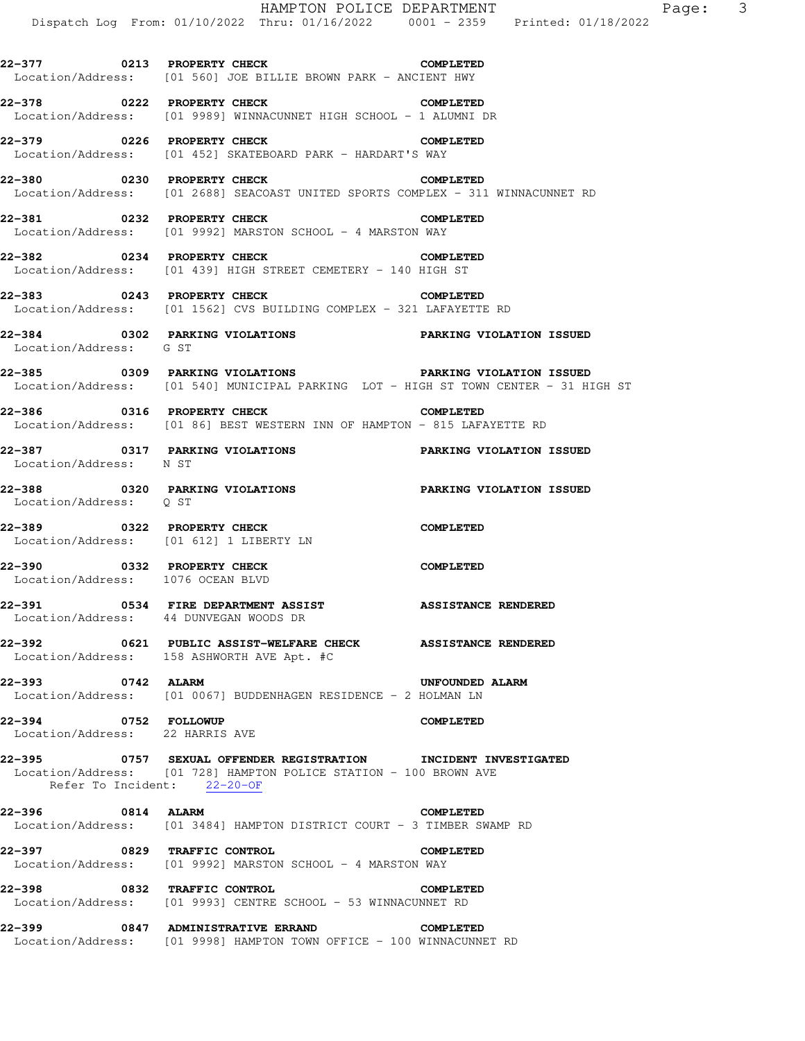|                                                                 | Dispatch Log From: 01/10/2022 Thru: 01/16/2022 0001 - 2359 Printed: 01/18/2022                                                      | HAMPTON POLICE DEPARTMENT<br>Page: 3 |
|-----------------------------------------------------------------|-------------------------------------------------------------------------------------------------------------------------------------|--------------------------------------|
|                                                                 | 22-377 0213 PROPERTY CHECK<br>Location/Address: [01 560] JOE BILLIE BROWN PARK - ANCIENT HWY                                        | <b>COMPLETED</b>                     |
|                                                                 | 22-378 0222 PROPERTY CHECK<br>Location/Address: [01 9989] WINNACUNNET HIGH SCHOOL - 1 ALUMNI DR                                     | <b>COMPLETED</b>                     |
|                                                                 | 22-379 0226 PROPERTY CHECK<br>Location/Address: [01 452] SKATEBOARD PARK - HARDART'S WAY                                            | <b>COMPLETED</b>                     |
|                                                                 | 22-380 0230 PROPERTY CHECK COMPLETED<br>Location/Address: [01 2688] SEACOAST UNITED SPORTS COMPLEX - 311 WINNACUNNET RD             |                                      |
|                                                                 | 22-381 0232 PROPERTY CHECK<br>Location/Address: [01 9992] MARSTON SCHOOL - 4 MARSTON WAY                                            | <b>COMPLETED</b>                     |
|                                                                 | 22-382 0234 PROPERTY CHECK COMPLETED<br>Location/Address: [01 439] HIGH STREET CEMETERY - 140 HIGH ST                               |                                      |
|                                                                 | 22-383 0243 PROPERTY CHECK<br>Location/Address: [01 1562] CVS BUILDING COMPLEX - 321 LAFAYETTE RD                                   | <b>COMPLETED</b>                     |
| Location/Address: G ST                                          | 22-384 0302 PARKING VIOLATIONS PARKING VIOLATION ISSUED                                                                             |                                      |
|                                                                 | 22-385 0309 PARKING VIOLATIONS<br>Location/Address: [01 540] MUNICIPAL PARKING LOT - HIGH ST TOWN CENTER - 31 HIGH ST               | PARKING VIOLATION ISSUED             |
|                                                                 | 22-386 0316 PROPERTY CHECK COMPLETED<br>Location/Address: [01 86] BEST WESTERN INN OF HAMPTON - 815 LAFAYETTE RD                    |                                      |
| 22-387 0317 PARKING VIOLATIONS<br>Location/Address: N ST        |                                                                                                                                     | <b>PARKING VIOLATION ISSUED</b>      |
| Location/Address: Q ST                                          |                                                                                                                                     |                                      |
| 22-389 0322 PROPERTY CHECK                                      | Location/Address: [01 612] 1 LIBERTY LN                                                                                             | <b>COMPLETED</b>                     |
| 22-390 0332 PROPERTY CHECK<br>Location/Address: 1076 OCEAN BLVD |                                                                                                                                     | <b>COMPLETED</b>                     |
| Location/Address: 44 DUNVEGAN WOODS DR                          | 22-391 0534 FIRE DEPARTMENT ASSIST ASSISTANCE RENDERED                                                                              |                                      |
|                                                                 | 22-392 0621 PUBLIC ASSIST-WELFARE CHECK ASSISTANCE RENDERED<br>Location/Address: 158 ASHWORTH AVE Apt. #C                           |                                      |
| 0742 ALARM<br>22-393                                            | Location/Address: [01 0067] BUDDENHAGEN RESIDENCE - 2 HOLMAN LN                                                                     | <b>UNFOUNDED ALARM</b>               |
| 22-394 0752 FOLLOWUP<br>Location/Address: 22 HARRIS AVE         |                                                                                                                                     | <b>COMPLETED</b>                     |
| Refer To Incident: 22-20-OF                                     | 22-395 0757 SEXUAL OFFENDER REGISTRATION INCIDENT INVESTIGATED<br>Location/Address: [01 728] HAMPTON POLICE STATION - 100 BROWN AVE |                                      |
| 22-396 0814 ALARM                                               | Location/Address: [01 3484] HAMPTON DISTRICT COURT - 3 TIMBER SWAMP RD                                                              | <b>COMPLETED</b>                     |
| 22-397 0829 TRAFFIC CONTROL                                     | Location/Address: [01 9992] MARSTON SCHOOL - 4 MARSTON WAY                                                                          | <b>COMPLETED</b>                     |
| 22-398 0832 TRAFFIC CONTROL                                     | Location/Address: [01 9993] CENTRE SCHOOL - 53 WINNACUNNET RD                                                                       | <b>COMPLETED</b>                     |
|                                                                 | 22-399 0847 ADMINISTRATIVE ERRAND COMPLETED<br>Location/Address: [01 9998] HAMPTON TOWN OFFICE - 100 WINNACUNNET RD                 |                                      |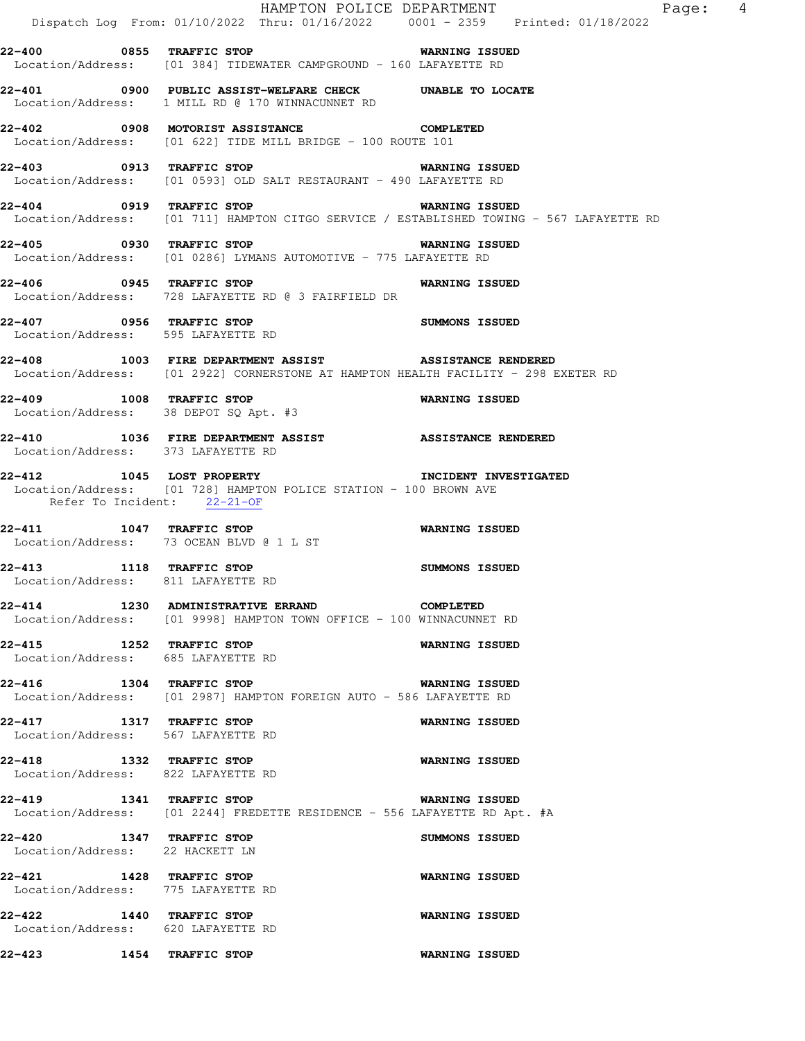|                                                                | Dispatch Log From: 01/10/2022 Thru: 01/16/2022 0001 - 2359 Printed: 01/18/2022                                                                                           | HAMPTON POLICE DEPARTMENT<br>Page: 4           |
|----------------------------------------------------------------|--------------------------------------------------------------------------------------------------------------------------------------------------------------------------|------------------------------------------------|
|                                                                | 22-400 6855 TRAFFIC STOP NARMING ISSUED<br>Location/Address: [01 384] TIDEWATER CAMPGROUND - 160 LAFAYETTE RD                                                            |                                                |
|                                                                | 22-401 0900 PUBLIC ASSIST-WELFARE CHECK UNABLE TO LOCATE<br>Location/Address: 1 MILL RD @ 170 WINNACUNNET RD                                                             |                                                |
|                                                                | 22-402 0908 MOTORIST ASSISTANCE COMPLETED<br>Location/Address: [01 622] TIDE MILL BRIDGE - 100 ROUTE 101                                                                 |                                                |
| 22-403 0913 TRAFFIC STOP                                       | <b>WARNING ISSUED</b><br>Location/Address: [01 0593] OLD SALT RESTAURANT - 490 LAFAYETTE RD                                                                              |                                                |
|                                                                | 22-404 0919 TRAFFIC STOP<br>Location/Address: [01 711] HAMPTON CITGO SERVICE / ESTABLISHED TOWING - 567 LAFAYETTE RD                                                     | <b>WARNING ISSUED</b>                          |
|                                                                | 22-405 0930 TRAFFIC STOP<br>Location/Address: [01 0286] LYMANS AUTOMOTIVE - 775 LAFAYETTE RD                                                                             | <b>WARNING ISSUED</b>                          |
|                                                                | 22-406 0945 TRAFFIC STOP<br>Location/Address: 728 LAFAYETTE RD @ 3 FAIRFIELD DR                                                                                          | <b>WARNING ISSUED</b>                          |
| Location/Address: 595 LAFAYETTE RD                             | 22-407 0956 TRAFFIC STOP                                                                                                                                                 | <b>SUMMONS ISSUED</b>                          |
|                                                                | 22-408 1003 FIRE DEPARTMENT ASSIST ASSISTANCE RENDERED<br>Location/Address: [01 2922] CORNERSTONE AT HAMPTON HEALTH FACILITY - 298 EXETER RD<br>22-409 1008 TRAFFIC STOP |                                                |
| Location/Address: 38 DEPOT SQ Apt. #3                          | 22-410 1036 FIRE DEPARTMENT ASSIST ASSISTANCE RENDERED                                                                                                                   | <b>WARNING ISSUED</b>                          |
| Location/Address: 373 LAFAYETTE RD                             | 22-412 1045 LOST PROPERTY 1NCIDENT INVESTIGATED                                                                                                                          |                                                |
| Refer To Incident: 22-21-OF                                    | Location/Address: [01 728] HAMPTON POLICE STATION - 100 BROWN AVE                                                                                                        |                                                |
|                                                                | 22-411 1047 TRAFFIC STOP<br>Location/Address: 73 OCEAN BLVD @ 1 L ST                                                                                                     | <b>WARNING ISSUED</b>                          |
| 22-413 1118 TRAFFIC STOP<br>Location/Address: 811 LAFAYETTE RD |                                                                                                                                                                          | <b>SUMMONS ISSUED</b>                          |
|                                                                | 22-414 1230 ADMINISTRATIVE ERRAND<br>Location/Address: [01 9998] HAMPTON TOWN OFFICE - 100 WINNACUNNET RD                                                                | <b>COMPLETED</b>                               |
| 22-415 1252 TRAFFIC STOP<br>Location/Address: 685 LAFAYETTE RD |                                                                                                                                                                          | <b>WARNING ISSUED</b>                          |
| 22-416 1304 TRAFFIC STOP<br>22-417 1317 TRAFFIC STOP           | Location/Address: [01 2987] HAMPTON FOREIGN AUTO - 586 LAFAYETTE RD                                                                                                      | <b>WARNING ISSUED</b><br><b>WARNING ISSUED</b> |
| Location/Address: 567 LAFAYETTE RD<br>22-418 1332 TRAFFIC STOP |                                                                                                                                                                          | WARNING ISSUED                                 |
| Location/Address: 822 LAFAYETTE RD                             | 22-419 1341 TRAFFIC STOP                                                                                                                                                 | WARNING ISSUED                                 |
| 22-420 1347 TRAFFIC STOP                                       | Location/Address: [01 2244] FREDETTE RESIDENCE - 556 LAFAYETTE RD Apt. #A                                                                                                | SUMMONS ISSUED                                 |
| Location/Address: 22 HACKETT LN<br>22-421 1428 TRAFFIC STOP    |                                                                                                                                                                          | <b>WARNING ISSUED</b>                          |
| Location/Address: 775 LAFAYETTE RD<br>22-422 1440 TRAFFIC STOP |                                                                                                                                                                          | WARNING ISSUED                                 |
| Location/Address: 620 LAFAYETTE RD<br>22-423                   | 1454 TRAFFIC STOP                                                                                                                                                        | <b>WARNING ISSUED</b>                          |
|                                                                |                                                                                                                                                                          |                                                |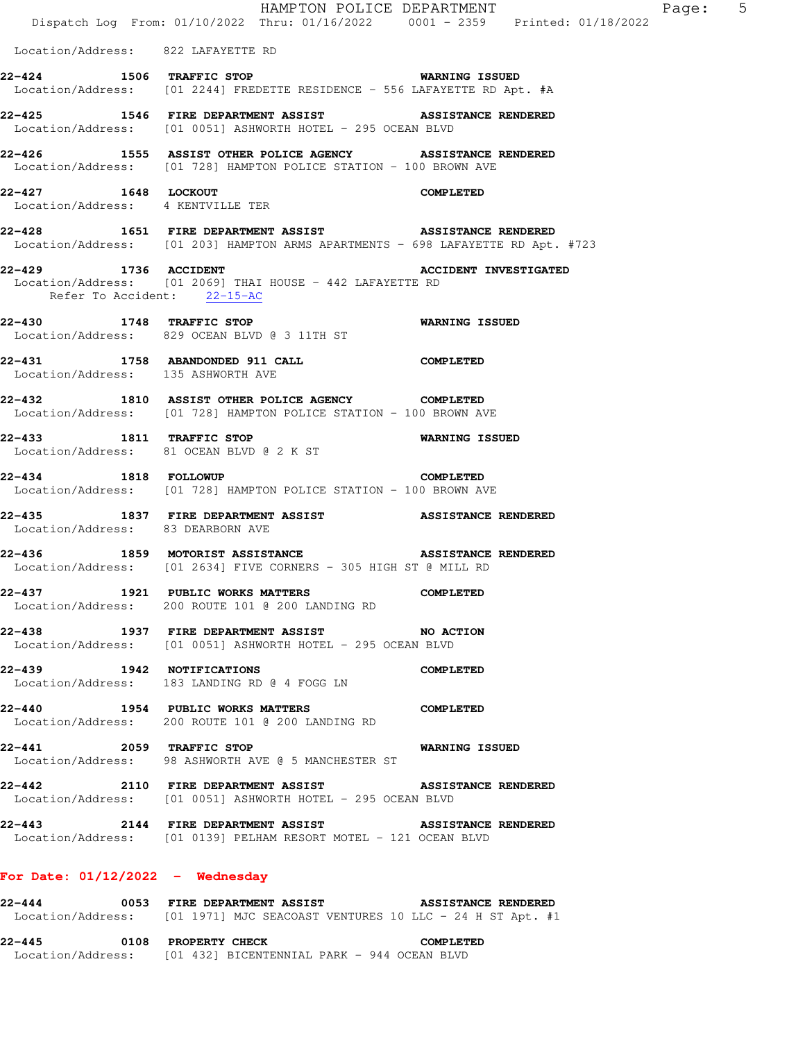|                                    | HAMPTON POLICE DEPARTMENT                                                                                                                 |                              | Page: 5 |
|------------------------------------|-------------------------------------------------------------------------------------------------------------------------------------------|------------------------------|---------|
|                                    | Dispatch Log From: 01/10/2022 Thru: 01/16/2022 0001 - 2359 Printed: 01/18/2022                                                            |                              |         |
| Location/Address: 822 LAFAYETTE RD |                                                                                                                                           |                              |         |
|                                    | 22-424 1506 TRAFFIC STOP 6 WARNING ISSUED                                                                                                 |                              |         |
|                                    | Location/Address: [01 2244] FREDETTE RESIDENCE - 556 LAFAYETTE RD Apt. #A                                                                 |                              |         |
|                                    | 22-425 1546 FIRE DEPARTMENT ASSIST ASSISTANCE RENDERED                                                                                    |                              |         |
|                                    | Location/Address: [01 0051] ASHWORTH HOTEL - 295 OCEAN BLVD                                                                               |                              |         |
|                                    | Location/Address: [01 728] HAMPTON POLICE STATION - 100 BROWN AVE                                                                         |                              |         |
| 22-427 1648 LOCKOUT                |                                                                                                                                           | <b>COMPLETED</b>             |         |
| Location/Address: 4 KENTVILLE TER  |                                                                                                                                           |                              |         |
|                                    | 22-428 1651 FIRE DEPARTMENT ASSIST ASSISTANCE RENDERED<br>Location/Address: [01 203] HAMPTON ARMS APARTMENTS - 698 LAFAYETTE RD Apt. #723 |                              |         |
|                                    | 22-429 1736 ACCIDENT                                                                                                                      | <b>ACCIDENT INVESTIGATED</b> |         |
| Refer To Accident: 22-15-AC        | Location/Address: [01 2069] THAI HOUSE - 442 LAFAYETTE RD                                                                                 |                              |         |
|                                    | 22-430 1748 TRAFFIC STOP 6 6 WARNING ISSUED                                                                                               |                              |         |
|                                    | Location/Address: 829 OCEAN BLVD @ 3 11TH ST                                                                                              |                              |         |
|                                    | 22-431 1758 ABANDONDED 911 CALL COMPLETED                                                                                                 |                              |         |
| Location/Address: 135 ASHWORTH AVE |                                                                                                                                           |                              |         |
|                                    | 22-432 1810 ASSIST OTHER POLICE AGENCY COMPLETED                                                                                          |                              |         |
|                                    | Location/Address: [01 728] HAMPTON POLICE STATION - 100 BROWN AVE                                                                         |                              |         |
|                                    | 22-433 1811 TRAFFIC STOP<br>Location/Address: 81 OCEAN BLVD @ 2 K ST                                                                      | <b>WARNING ISSUED</b>        |         |
| 22-434 1818 FOLLOWUP               |                                                                                                                                           | <b>COMPLETED</b>             |         |
|                                    | Location/Address: [01 728] HAMPTON POLICE STATION - 100 BROWN AVE                                                                         |                              |         |
| Location/Address: 83 DEARBORN AVE  | 22-435 1837 FIRE DEPARTMENT ASSIST ASSISTANCE RENDERED                                                                                    |                              |         |
|                                    | 22-436 1859 MOTORIST ASSISTANCE                                                                                                           | <b>ASSISTANCE RENDERED</b>   |         |
|                                    | Location/Address: [01 2634] FIVE CORNERS - 305 HIGH ST @ MILL RD                                                                          |                              |         |
|                                    | 22-437 1921 PUBLIC WORKS MATTERS                                                                                                          | <b>COMPLETED</b>             |         |
|                                    | Location/Address: 200 ROUTE 101 @ 200 LANDING RD                                                                                          |                              |         |
| 22-438                             | 1937 FIRE DEPARTMENT ASSIST<br>Location/Address: [01 0051] ASHWORTH HOTEL - 295 OCEAN BLVD                                                | NO ACTION                    |         |
| 22-439 1942 NOTIFICATIONS          |                                                                                                                                           | <b>COMPLETED</b>             |         |
|                                    | Location/Address: 183 LANDING RD @ 4 FOGG LN                                                                                              |                              |         |
| 22-440                             | 1954 PUBLIC WORKS MATTERS COMPLETED                                                                                                       |                              |         |
|                                    | Location/Address: 200 ROUTE 101 @ 200 LANDING RD                                                                                          |                              |         |
| 22-441 2059 TRAFFIC STOP           | <b>WARNING ISSUED</b><br>Location/Address: 98 ASHWORTH AVE @ 5 MANCHESTER ST                                                              |                              |         |
|                                    | 22-442 2110 FIRE DEPARTMENT ASSIST<br>Location/Address: [01 0051] ASHWORTH HOTEL - 295 OCEAN BLVD                                         | <b>ASSISTANCE RENDERED</b>   |         |
|                                    |                                                                                                                                           |                              |         |
|                                    | 22-443 2144 FIRE DEPARTMENT ASSIST ASSISTANCE RENDERED<br>Location/Address: [01 0139] PELHAM RESORT MOTEL - 121 OCEAN BLVD                |                              |         |
| For Date: $01/12/2022 -$ Wednesday |                                                                                                                                           |                              |         |
| 22-444                             | 0053 FIRE DEPARTMENT ASSIST ASSISTANCE RENDERED                                                                                           |                              |         |

Location/Address: [01 1971] MJC SEACOAST VENTURES 10 LLC - 24 H ST Apt. #1

**22-445 0108 PROPERTY CHECK COMPLETED**  Location/Address: [01 432] BICENTENNIAL PARK - 944 OCEAN BLVD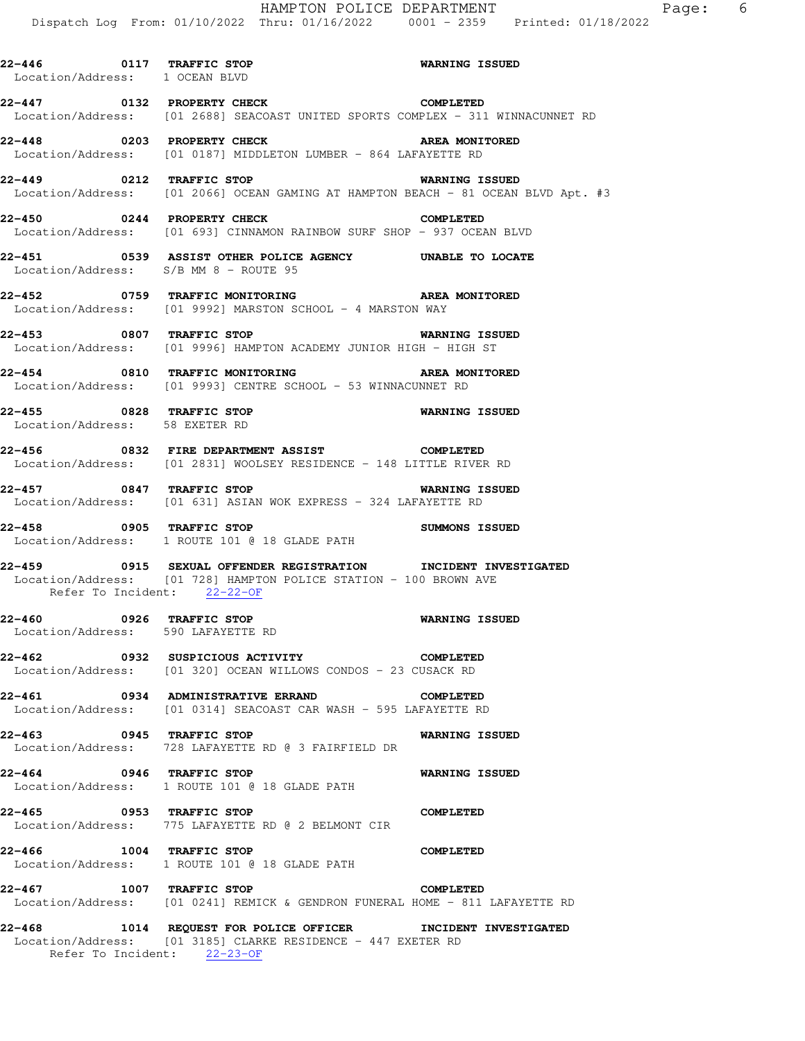**22-446 0117 TRAFFIC STOP WARNING ISSUED**  Location/Address: 1 OCEAN BLVD **22-447 0132 PROPERTY CHECK COMPLETED**  Location/Address: [01 2688] SEACOAST UNITED SPORTS COMPLEX - 311 WINNACUNNET RD **22-448 0203 PROPERTY CHECK AREA MONITORED**  Location/Address: [01 0187] MIDDLETON LUMBER - 864 LAFAYETTE RD **22-449 0212 TRAFFIC STOP WARNING ISSUED**  Location/Address: [01 2066] OCEAN GAMING AT HAMPTON BEACH - 81 OCEAN BLVD Apt. #3 **22-450 0244 PROPERTY CHECK COMPLETED**  Location/Address: [01 693] CINNAMON RAINBOW SURF SHOP - 937 OCEAN BLVD **22-451 0539 ASSIST OTHER POLICE AGENCY UNABLE TO LOCATE**  Location/Address: S/B MM 8 - ROUTE 95 **22-452 0759 TRAFFIC MONITORING AREA MONITORED**  Location/Address: [01 9992] MARSTON SCHOOL - 4 MARSTON WAY **22-453 0807 TRAFFIC STOP WARNING ISSUED**  Location/Address: [01 9996] HAMPTON ACADEMY JUNIOR HIGH - HIGH ST **22-454 0810 TRAFFIC MONITORING AREA MONITORED**  Location/Address: [01 9993] CENTRE SCHOOL - 53 WINNACUNNET RD **22-455 0828 TRAFFIC STOP WARNING ISSUED**  Location/Address: 58 EXETER RD **22-456 0832 FIRE DEPARTMENT ASSIST COMPLETED**  Location/Address: [01 2831] WOOLSEY RESIDENCE - 148 LITTLE RIVER RD **22-457 0847 TRAFFIC STOP WARNING ISSUED**  Location/Address: [01 631] ASIAN WOK EXPRESS - 324 LAFAYETTE RD **22-458 0905 TRAFFIC STOP SUMMONS ISSUED**  Location/Address: 1 ROUTE 101 @ 18 GLADE PATH **22-459 0915 SEXUAL OFFENDER REGISTRATION INCIDENT INVESTIGATED**  Location/Address: [01 728] HAMPTON POLICE STATION - 100 BROWN AVE Refer To Incident: 22-22-OF **22-460 0926 TRAFFIC STOP WARNING ISSUED**  Location/Address: 590 LAFAYETTE RD **22-462 0932 SUSPICIOUS ACTIVITY COMPLETED**  Location/Address: [01 320] OCEAN WILLOWS CONDOS - 23 CUSACK RD **22-461 0934 ADMINISTRATIVE ERRAND COMPLETED**  Location/Address: [01 0314] SEACOAST CAR WASH - 595 LAFAYETTE RD **22-463 0945 TRAFFIC STOP WARNING ISSUED**  Location/Address: 728 LAFAYETTE RD @ 3 FAIRFIELD DR **22-464 0946 TRAFFIC STOP WARNING ISSUED**  Location/Address: 1 ROUTE 101 @ 18 GLADE PATH **22-465 0953 TRAFFIC STOP COMPLETED**  Location/Address: 775 LAFAYETTE RD @ 2 BELMONT CIR **22-466 1004 TRAFFIC STOP COMPLETED**  Location/Address: 1 ROUTE 101 @ 18 GLADE PATH **22-467 1007 TRAFFIC STOP COMPLETED**  Location/Address: [01 0241] REMICK & GENDRON FUNERAL HOME - 811 LAFAYETTE RD

**22-468 1014 REQUEST FOR POLICE OFFICER INCIDENT INVESTIGATED**  Location/Address: [01 3185] CLARKE RESIDENCE - 447 EXETER RD Refer To Incident: 22-23-OF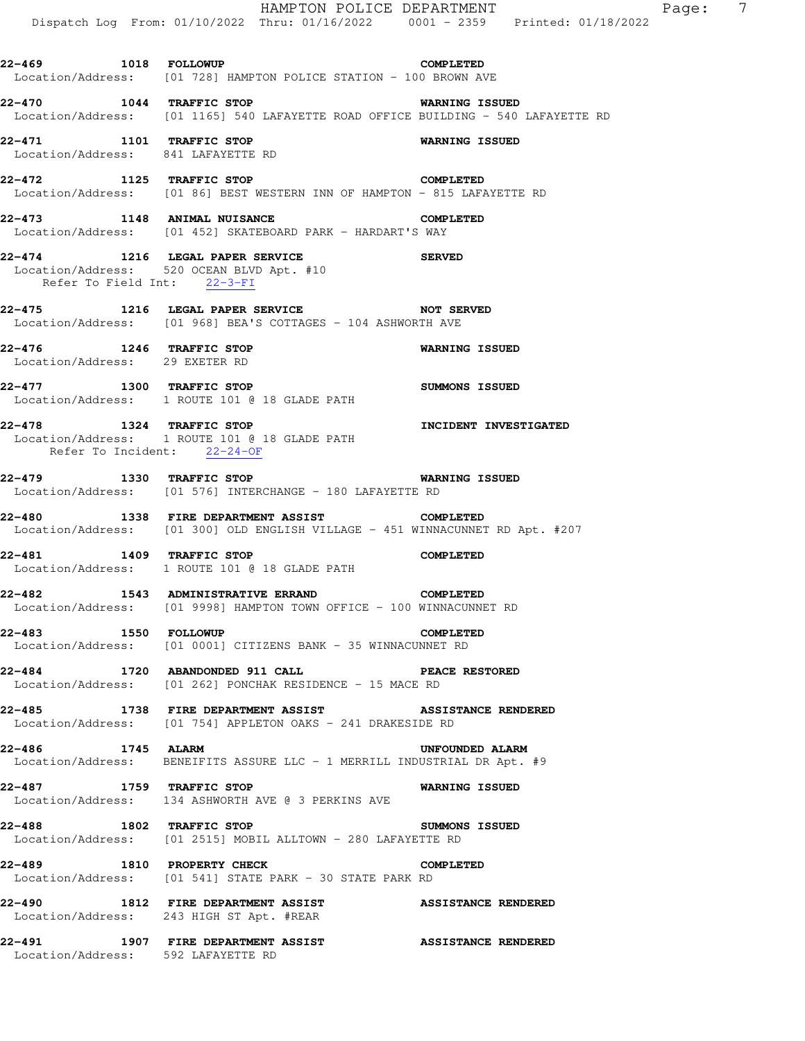HAMPTON POLICE DEPARTMENT Page: 7 Dispatch Log From: 01/10/2022 Thru: 01/16/2022 0001 - 2359 Printed: 01/18/2022 **22-469 1018 FOLLOWUP COMPLETED**  Location/Address: [01 728] HAMPTON POLICE STATION - 100 BROWN AVE **22-470 1044 TRAFFIC STOP WARNING ISSUED**  Location/Address: [01 1165] 540 LAFAYETTE ROAD OFFICE BUILDING - 540 LAFAYETTE RD **22-471 1101 TRAFFIC STOP WARNING ISSUED**  Location/Address: 841 LAFAYETTE RD **22-472 1125 TRAFFIC STOP COMPLETED**  Location/Address: [01 86] BEST WESTERN INN OF HAMPTON - 815 LAFAYETTE RD **22-473 1148 ANIMAL NUISANCE COMPLETED**  Location/Address: [01 452] SKATEBOARD PARK - HARDART'S WAY **22-474 1216 LEGAL PAPER SERVICE SERVED**  Location/Address: 520 OCEAN BLVD Apt. #10 Refer To Field Int: 22-3-FI **22-475 1216 LEGAL PAPER SERVICE NOT SERVED**  Location/Address: [01 968] BEA'S COTTAGES - 104 ASHWORTH AVE **22-476 1246 TRAFFIC STOP WARNING ISSUED**  Location/Address: 29 EXETER RD **22-477 1300 TRAFFIC STOP SUMMONS ISSUED**  Location/Address: 1 ROUTE 101 @ 18 GLADE PATH **22-478 1324 TRAFFIC STOP INCIDENT INVESTIGATED**  Location/Address: 1 ROUTE 101 @ 18 GLADE PATH Refer To Incident: 22-24-OF **22-479 1330 TRAFFIC STOP WARNING ISSUED**  Location/Address: [01 576] INTERCHANGE - 180 LAFAYETTE RD **22-480 1338 FIRE DEPARTMENT ASSIST COMPLETED**  Location/Address: [01 300] OLD ENGLISH VILLAGE - 451 WINNACUNNET RD Apt. #207 **22-481 1409 TRAFFIC STOP COMPLETED**  Location/Address: 1 ROUTE 101 @ 18 GLADE PATH **22-482 1543 ADMINISTRATIVE ERRAND COMPLETED**  Location/Address: [01 9998] HAMPTON TOWN OFFICE - 100 WINNACUNNET RD **22-483 1550 FOLLOWUP COMPLETED**  Location/Address: [01 0001] CITIZENS BANK - 35 WINNACUNNET RD **22-484 1720 ABANDONDED 911 CALL PEACE RESTORED**  Location/Address: [01 262] PONCHAK RESIDENCE - 15 MACE RD **22-485 1738 FIRE DEPARTMENT ASSIST ASSISTANCE RENDERED**  Location/Address: [01 754] APPLETON OAKS - 241 DRAKESIDE RD **22-486 1745 ALARM UNFOUNDED ALARM**  Location/Address: BENEIFITS ASSURE LLC - 1 MERRILL INDUSTRIAL DR Apt. #9 **22-487 1759 TRAFFIC STOP WARNING ISSUED**  Location/Address: 134 ASHWORTH AVE @ 3 PERKINS AVE **22-488 1802 TRAFFIC STOP SUMMONS ISSUED**  Location/Address: [01 2515] MOBIL ALLTOWN - 280 LAFAYETTE RD **22-489 1810 PROPERTY CHECK COMPLETED**  Location/Address: [01 541] STATE PARK - 30 STATE PARK RD **22-490 1812 FIRE DEPARTMENT ASSIST ASSISTANCE RENDERED**  Location/Address: 243 HIGH ST Apt. #REAR **22-491 1907 FIRE DEPARTMENT ASSIST ASSISTANCE RENDERED**  Location/Address: 592 LAFAYETTE RD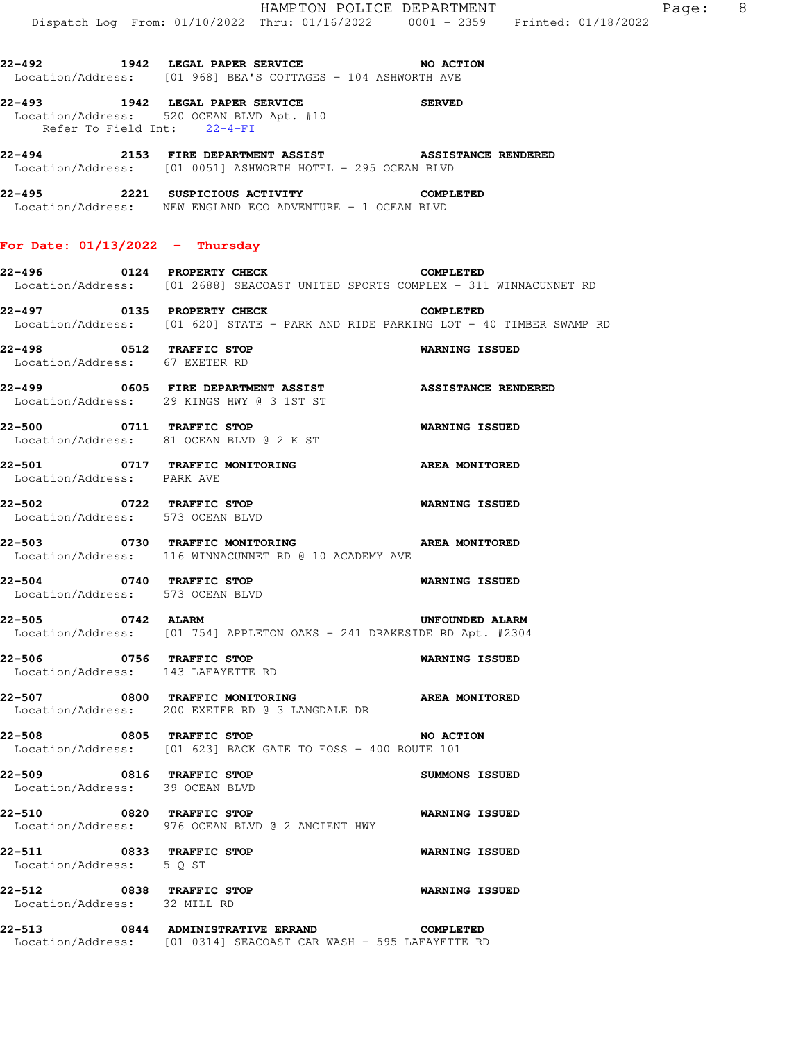**22-492 1942 LEGAL PAPER SERVICE NO ACTION**  Location/Address: [01 968] BEA'S COTTAGES - 104 ASHWORTH AVE

**22-493 1942 LEGAL PAPER SERVICE SERVED**  Location/Address: 520 OCEAN BLVD Apt. #10 Refer To Field Int: 22-4-FI

**22-494 2153 FIRE DEPARTMENT ASSIST ASSISTANCE RENDERED**  Location/Address: [01 0051] ASHWORTH HOTEL - 295 OCEAN BLVD

**22-495 2221 SUSPICIOUS ACTIVITY COMPLETED**  Location/Address: NEW ENGLAND ECO ADVENTURE - 1 OCEAN BLVD

## **For Date: 01/13/2022 - Thursday**

**22-496 0124 PROPERTY CHECK COMPLETED**  Location/Address: [01 2688] SEACOAST UNITED SPORTS COMPLEX - 311 WINNACUNNET RD

**22-497 0135 PROPERTY CHECK COMPLETED**  Location/Address: [01 620] STATE - PARK AND RIDE PARKING LOT - 40 TIMBER SWAMP RD

**22-498 0512 TRAFFIC STOP WARNING ISSUED**  Location/Address: 67 EXETER RD

**22-499 0605 FIRE DEPARTMENT ASSIST ASSISTANCE RENDERED**  Location/Address: 29 KINGS HWY @ 3 1ST ST

**22-500 0711 TRAFFIC STOP WARNING ISSUED**  Location/Address: 81 OCEAN BLVD @ 2 K ST

**22-501 0717 TRAFFIC MONITORING AREA MONITORED**  Location/Address: PARK AVE

**22-502 0722 TRAFFIC STOP WARNING ISSUED**  Location/Address: 573 OCEAN BLVD

**22-503 0730 TRAFFIC MONITORING AREA MONITORED**  Location/Address: 116 WINNACUNNET RD @ 10 ACADEMY AVE

**22-504 0740 TRAFFIC STOP WARNING ISSUED**  Location/Address: 573 OCEAN BLVD

**22-505 0742 ALARM UNFOUNDED ALARM**  Location/Address: [01 754] APPLETON OAKS - 241 DRAKESIDE RD Apt. #2304

**22-506 0756 TRAFFIC STOP WARNING ISSUED**  Location/Address: 143 LAFAYETTE RD

**22-507 0800 TRAFFIC MONITORING AREA MONITORED**  Location/Address: 200 EXETER RD @ 3 LANGDALE DR

**22-508 0805 TRAFFIC STOP NO ACTION** Location/Address: [01 623] BACK GATE TO FOSS - 400 ROUTE 101

**22-509 0816 TRAFFIC STOP SUMMONS ISSUED**  Location/Address: 39 OCEAN BLVD

**22-510 0820 TRAFFIC STOP WARNING ISSUED**  Location/Address: 976 OCEAN BLVD @ 2 ANCIENT HWY

**22-511 0833 TRAFFIC STOP WARNING ISSUED**  Location/Address: 5 Q ST

**22-512 0838 TRAFFIC STOP WARNING ISSUED**  Location/Address: 32 MILL RD

**22-513 0844 ADMINISTRATIVE ERRAND COMPLETED**  Location/Address: [01 0314] SEACOAST CAR WASH - 595 LAFAYETTE RD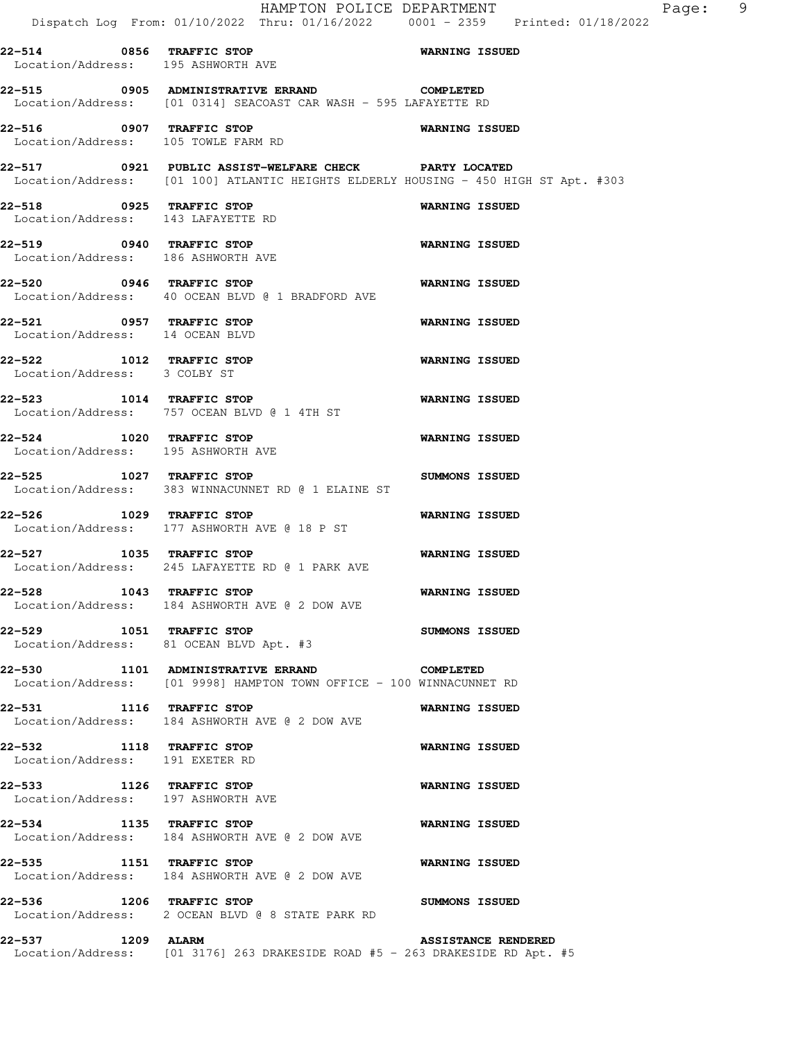|                                                                 | HAMPTON POLICE DEPARTMENT<br>Dispatch Log From: 01/10/2022 Thru: 01/16/2022 0001 - 2359 Printed: 01/18/2022                                  |                                         |
|-----------------------------------------------------------------|----------------------------------------------------------------------------------------------------------------------------------------------|-----------------------------------------|
| 22-514 0856 TRAFFIC STOP<br>Location/Address: 195 ASHWORTH AVE  |                                                                                                                                              | WARNING ISSUED                          |
|                                                                 | 22-515 0905 ADMINISTRATIVE ERRAND COMPLETED<br>Location/Address: [01 0314] SEACOAST CAR WASH - 595 LAFAYETTE RD                              |                                         |
| 22-516 0907 TRAFFIC STOP<br>Location/Address: 105 TOWLE FARM RD |                                                                                                                                              | <b>WARNING ISSUED</b>                   |
|                                                                 | 22-517 0921 PUBLIC ASSIST-WELFARE CHECK PARTY LOCATED<br>Location/Address: [01 100] ATLANTIC HEIGHTS ELDERLY HOUSING - 450 HIGH ST Apt. #303 |                                         |
| 22-518 0925 TRAFFIC STOP                                        | Location/Address: 143 LAFAYETTE RD                                                                                                           | <b>WARNING ISSUED</b>                   |
| Location/Address: 186 ASHWORTH AVE                              | 22-519 0940 TRAFFIC STOP                                                                                                                     | WARNING ISSUED                          |
| 22-520 0946 TRAFFIC STOP                                        | Location/Address: 40 OCEAN BLVD @ 1 BRADFORD AVE                                                                                             | <b>WARNING ISSUED</b>                   |
| 22-521 0957 TRAFFIC STOP<br>Location/Address: 14 OCEAN BLVD     |                                                                                                                                              | <b>WARNING ISSUED</b>                   |
| 22-522 1012 TRAFFIC STOP<br>Location/Address: 3 COLBY ST        |                                                                                                                                              | <b>WARNING ISSUED</b>                   |
|                                                                 | 22-523 1014 TRAFFIC STOP<br>Location/Address: 757 OCEAN BLVD @ 1 4TH ST                                                                      | <b>WARNING ISSUED</b>                   |
| 22-524 1020 TRAFFIC STOP<br>Location/Address: 195 ASHWORTH AVE  |                                                                                                                                              | <b>WARNING ISSUED</b>                   |
| 22-526 1029 TRAFFIC STOP                                        | 22-525 1027 TRAFFIC STOP<br>Location/Address: 383 WINNACUNNET RD @ 1 ELAINE ST                                                               | SUMMONS ISSUED<br><b>WARNING ISSUED</b> |
|                                                                 | Location/Address: 177 ASHWORTH AVE @ 18 P ST<br>22-527 1035 TRAFFIC STOP                                                                     | <b>WARNING ISSUED</b>                   |
| 22-528 1043 TRAFFIC STOP                                        | Location/Address: 245 LAFAYETTE RD @ 1 PARK AVE                                                                                              | <b>WARNING ISSUED</b>                   |
| 22-529 1051 TRAFFIC STOP                                        | Location/Address: 184 ASHWORTH AVE @ 2 DOW AVE                                                                                               | <b>SUMMONS ISSUED</b>                   |
|                                                                 | Location/Address: 81 OCEAN BLVD Apt. #3<br>22-530 1101 ADMINISTRATIVE ERRAND<br><b>COMPLETED</b>                                             |                                         |
|                                                                 | Location/Address: [01 9998] HAMPTON TOWN OFFICE - 100 WINNACUNNET RD                                                                         |                                         |
| 22-531 1116 TRAFFIC STOP                                        | Location/Address: 184 ASHWORTH AVE @ 2 DOW AVE                                                                                               | <b>WARNING ISSUED</b>                   |
| 22-532 1118 TRAFFIC STOP<br>Location/Address: 191 EXETER RD     |                                                                                                                                              | WARNING ISSUED                          |
| 22-533 1126 TRAFFIC STOP<br>Location/Address: 197 ASHWORTH AVE  |                                                                                                                                              | <b>WARNING ISSUED</b>                   |
| 22-534 1135 TRAFFIC STOP                                        | Location/Address: 184 ASHWORTH AVE @ 2 DOW AVE                                                                                               | <b>WARNING ISSUED</b>                   |
| 22-535 1151 TRAFFIC STOP                                        | Location/Address: 184 ASHWORTH AVE @ 2 DOW AVE                                                                                               | WARNING ISSUED                          |
| 22-536 1206 TRAFFIC STOP                                        | Location/Address: 2 OCEAN BLVD @ 8 STATE PARK RD                                                                                             | <b>SUMMONS ISSUED</b>                   |
| 22-537 1209 ALARM                                               | Location/Address: [01 3176] 263 DRAKESIDE ROAD #5 - 263 DRAKESIDE RD Apt. #5                                                                 | <b>ASSISTANCE RENDERED</b>              |

Page: 9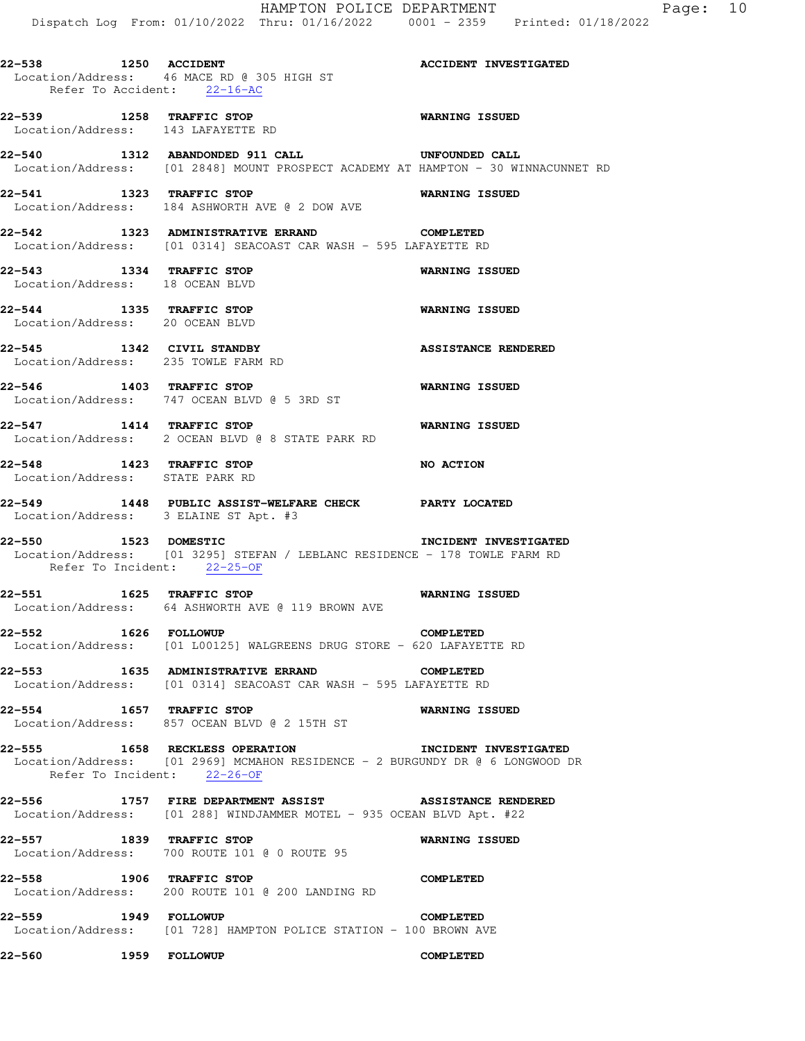**22-539 1258 TRAFFIC STOP WARNING ISSUED**  Location/Address: 143 LAFAYETTE RD

**22-540 1312 ABANDONDED 911 CALL UNFOUNDED CALL**  Location/Address: [01 2848] MOUNT PROSPECT ACADEMY AT HAMPTON - 30 WINNACUNNET RD

**22-541 1323 TRAFFIC STOP WARNING ISSUED**  Location/Address: 184 ASHWORTH AVE @ 2 DOW AVE

**22-542 1323 ADMINISTRATIVE ERRAND COMPLETED**  Location/Address: [01 0314] SEACOAST CAR WASH - 595 LAFAYETTE RD

**22-543 1334 TRAFFIC STOP WARNING ISSUED**  Location/Address: 18 OCEAN BLVD

**22-544 1335 TRAFFIC STOP WARNING ISSUED**  Location/Address: 20 OCEAN BLVD

**22-545 1342 CIVIL STANDBY ASSISTANCE RENDERED**  Location/Address: 235 TOWLE FARM RD

**22-546 1403 TRAFFIC STOP WARNING ISSUED**  Location/Address: 747 OCEAN BLVD @ 5 3RD ST

**22-547 1414 TRAFFIC STOP WARNING ISSUED**  Location/Address: 2 OCEAN BLVD @ 8 STATE PARK RD

**22-548 1423 TRAFFIC STOP NO ACTION**  Location/Address: STATE PARK RD

**22-549 1448 PUBLIC ASSIST-WELFARE CHECK PARTY LOCATED**  Location/Address: 3 ELAINE ST Apt. #3

**22-550 1523 DOMESTIC INCIDENT INVESTIGATED**  Location/Address: [01 3295] STEFAN / LEBLANC RESIDENCE - 178 TOWLE FARM RD Refer To Incident: 22-25-OF

**22-551 1625 TRAFFIC STOP WARNING ISSUED**  Location/Address: 64 ASHWORTH AVE @ 119 BROWN AVE

**22-552 1626 FOLLOWUP COMPLETED**  Location/Address: [01 L00125] WALGREENS DRUG STORE - 620 LAFAYETTE RD

**22-553 1635 ADMINISTRATIVE ERRAND COMPLETED**  Location/Address: [01 0314] SEACOAST CAR WASH - 595 LAFAYETTE RD

**22-554 1657 TRAFFIC STOP WARNING ISSUED**  Location/Address: 857 OCEAN BLVD @ 2 15TH ST

**22-555 1658 RECKLESS OPERATION INCIDENT INVESTIGATED**  Location/Address: [01 2969] MCMAHON RESIDENCE - 2 BURGUNDY DR @ 6 LONGWOOD DR Refer To Incident: 22-26-OF

**22-556 1757 FIRE DEPARTMENT ASSIST ASSISTANCE RENDERED**  Location/Address: [01 288] WINDJAMMER MOTEL - 935 OCEAN BLVD Apt. #22

**22-557 1839 TRAFFIC STOP WARNING ISSUED**  Location/Address: 700 ROUTE 101 @ 0 ROUTE 95

**22-558 1906 TRAFFIC STOP COMPLETED**  Location/Address: 200 ROUTE 101 @ 200 LANDING RD

**22-559 1949 FOLLOWUP COMPLETED**  Location/Address: [01 728] HAMPTON POLICE STATION - 100 BROWN AVE

**22-560 1959 FOLLOWUP COMPLETED**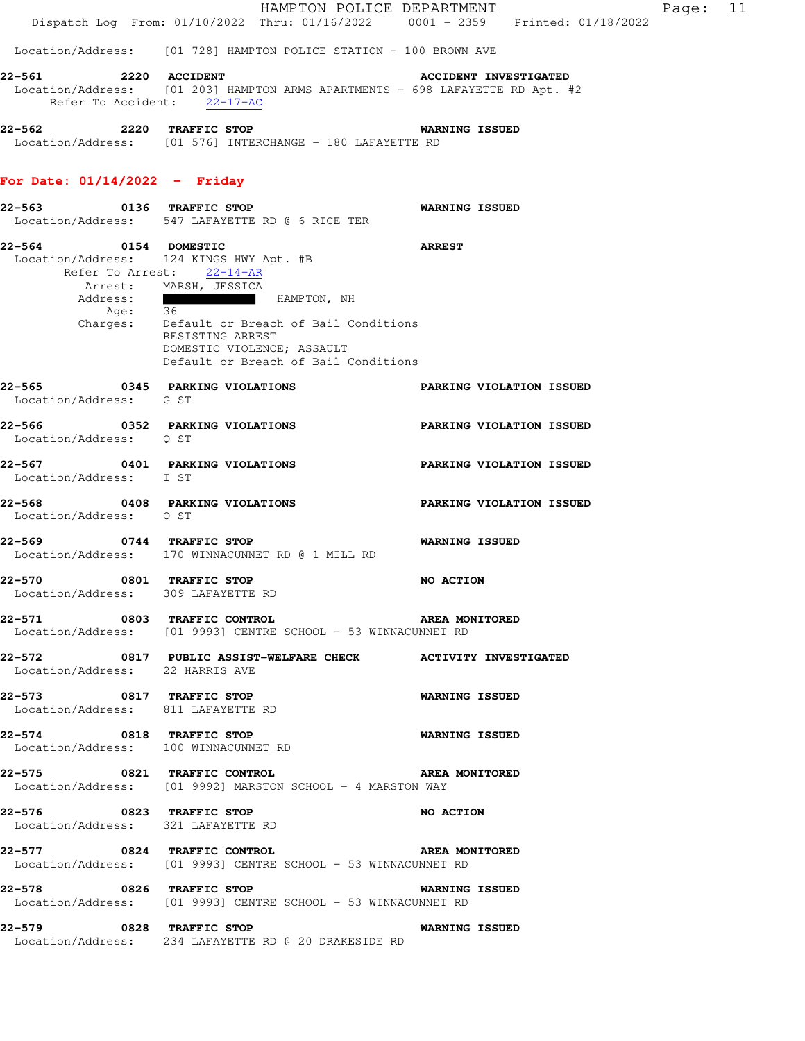|                                                                | Dispatch Log From: 01/10/2022 Thru: 01/16/2022 0001 - 2359 Printed: 01/18/2022                                      | HAMPTON POLICE DEPARTMENT       | Page: 11 |  |
|----------------------------------------------------------------|---------------------------------------------------------------------------------------------------------------------|---------------------------------|----------|--|
|                                                                | Location/Address: [01 728] HAMPTON POLICE STATION - 100 BROWN AVE                                                   |                                 |          |  |
| 2220 ACCIDENT<br>22–561                                        |                                                                                                                     | <b>ACCIDENT INVESTIGATED</b>    |          |  |
|                                                                | Location/Address: [01 203] HAMPTON ARMS APARTMENTS - 698 LAFAYETTE RD Apt. #2<br>Refer To Accident: 22-17-AC        |                                 |          |  |
| 22-562 2220 TRAFFIC STOP                                       | Location/Address: [01 576] INTERCHANGE - 180 LAFAYETTE RD                                                           | <b>WARNING ISSUED</b>           |          |  |
| For Date: $01/14/2022 -$ Friday                                |                                                                                                                     |                                 |          |  |
|                                                                | 22-563 0136 TRAFFIC STOP<br>Location/Address: 547 LAFAYETTE RD @ 6 RICE TER                                         | WARNING ISSUED                  |          |  |
| 22-564 0154 DOMESTIC                                           | Location/Address: 124 KINGS HWY Apt. #B                                                                             | <b>ARREST</b>                   |          |  |
|                                                                | Refer To Arrest: 22-14-AR                                                                                           |                                 |          |  |
|                                                                | Arrest: MARSH, JESSICA<br>Address: HAMPTON, NH                                                                      |                                 |          |  |
| Age: 36                                                        |                                                                                                                     |                                 |          |  |
|                                                                | Charges: Default or Breach of Bail Conditions<br>RESISTING ARREST                                                   |                                 |          |  |
|                                                                | DOMESTIC VIOLENCE; ASSAULT<br>Default or Breach of Bail Conditions                                                  |                                 |          |  |
| 22-565 0345 PARKING VIOLATIONS                                 |                                                                                                                     | <b>PARKING VIOLATION ISSUED</b> |          |  |
| Location/Address: G ST                                         |                                                                                                                     |                                 |          |  |
| Location/Address: Q ST                                         | 22-566 0352 PARKING VIOLATIONS                                                                                      | <b>PARKING VIOLATION ISSUED</b> |          |  |
| Location/Address: I ST                                         | 22-567 0401 PARKING VIOLATIONS                                                                                      | PARKING VIOLATION ISSUED        |          |  |
| Location/Address: 0 ST                                         | 22-568 0408 PARKING VIOLATIONS                                                                                      | <b>PARKING VIOLATION ISSUED</b> |          |  |
| 22-569 0744 TRAFFIC STOP                                       | Location/Address: 170 WINNACUNNET RD @ 1 MILL RD                                                                    | WARNING ISSUED                  |          |  |
| 22–570<br>Location/Address: 309 LAFAYETTE RD                   | 0801 TRAFFIC STOP                                                                                                   | NO ACTION                       |          |  |
|                                                                | 22-571 0803 TRAFFIC CONTROL CONTROL AREA MONITORED<br>Location/Address: [01 9993] CENTRE SCHOOL - 53 WINNACUNNET RD |                                 |          |  |
| Location/Address: 22 HARRIS AVE                                | 22-572 0817 PUBLIC ASSIST-WELFARE CHECK ACTIVITY INVESTIGATED                                                       |                                 |          |  |
| 22-573 0817 TRAFFIC STOP<br>Location/Address: 811 LAFAYETTE RD |                                                                                                                     | WARNING ISSUED                  |          |  |
| 22-574 0818 TRAFFIC STOP                                       | Location/Address: 100 WINNACUNNET RD                                                                                | <b>WARNING ISSUED</b>           |          |  |
| 22-575 0821 TRAFFIC CONTROL                                    | Location/Address: [01 9992] MARSTON SCHOOL - 4 MARSTON WAY                                                          | <b>AREA MONITORED</b>           |          |  |
| 22-576 0823 TRAFFIC STOP<br>Location/Address: 321 LAFAYETTE RD |                                                                                                                     | <b>NO ACTION</b>                |          |  |
| 22-577 0824 TRAFFIC CONTROL                                    | AREA MONITORED<br>Location/Address: [01 9993] CENTRE SCHOOL - 53 WINNACUNNET RD                                     |                                 |          |  |
| 22-578 0826 TRAFFIC STOP                                       | Location/Address: [01 9993] CENTRE SCHOOL - 53 WINNACUNNET RD                                                       | <b>WARNING ISSUED</b>           |          |  |
|                                                                | 22-579 0828 TRAFFIC STOP<br>Location/Address: 234 LAFAYETTE RD @ 20 DRAKESIDE RD                                    | <b>WARNING ISSUED</b>           |          |  |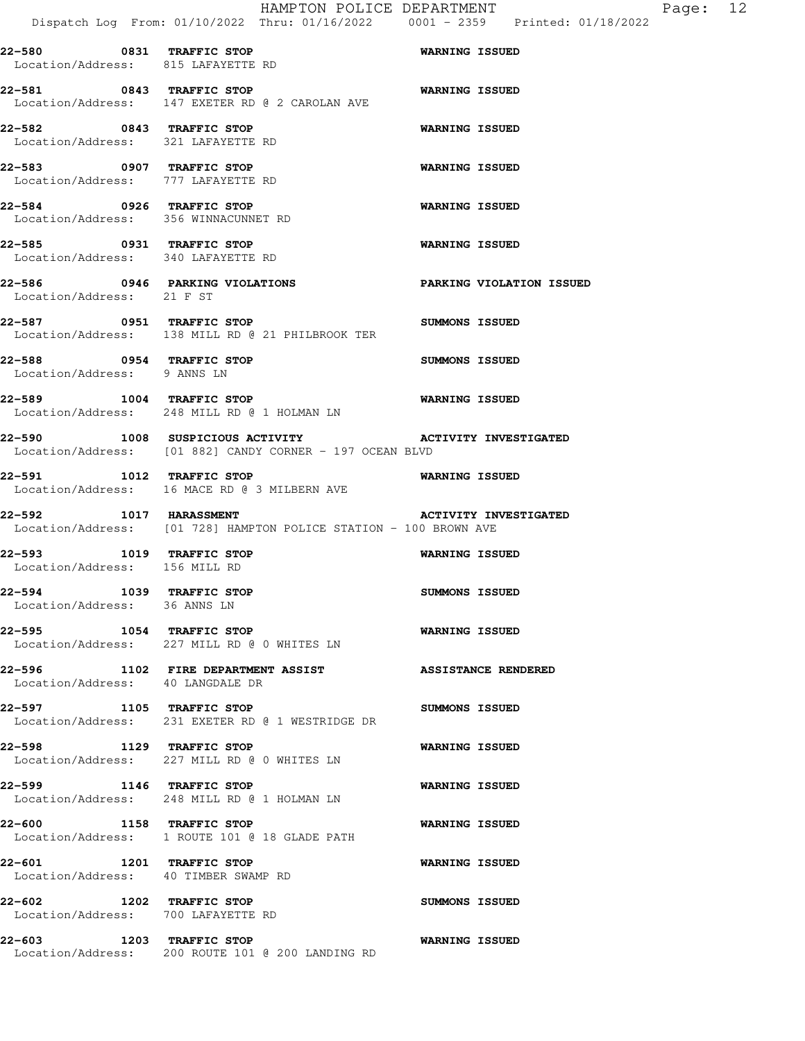HAMPTON POLICE DEPARTMENT Fage: 12 Dispatch Log From: 01/10/2022 Thru: 01/16/2022 0001 - 2359 Printed: 01/18/2022 **22-580 0831 TRAFFIC STOP WARNING ISSUED**  Location/Address: 815 LAFAYETTE RD **22-581 0843 TRAFFIC STOP WARNING ISSUED**  Location/Address: 147 EXETER RD @ 2 CAROLAN AVE **22-582 0843 TRAFFIC STOP WARNING ISSUED**  Location/Address: 321 LAFAYETTE RD **22-583 0907 TRAFFIC STOP WARNING ISSUED**  Location/Address: 777 LAFAYETTE RD **22-584 0926 TRAFFIC STOP WARNING ISSUED**  Location/Address: 356 WINNACUNNET RD **22-585 0931 TRAFFIC STOP WARNING ISSUED**  Location/Address: 340 LAFAYETTE RD **22-586 0946 PARKING VIOLATIONS PARKING VIOLATION ISSUED**  Location/Address: 21 F ST **22-587 0951 TRAFFIC STOP SUMMONS ISSUED**  Location/Address: 138 MILL RD @ 21 PHILBROOK TER **22-588 0954 TRAFFIC STOP SUMMONS ISSUED**  Location/Address: 9 ANNS LN **22-589 1004 TRAFFIC STOP WARNING ISSUED**  Location/Address: 248 MILL RD @ 1 HOLMAN LN **22-590 1008 SUSPICIOUS ACTIVITY ACTIVITY INVESTIGATED**  Location/Address: [01 882] CANDY CORNER - 197 OCEAN BLVD **22-591 1012 TRAFFIC STOP WARNING ISSUED**  Location/Address: 16 MACE RD @ 3 MILBERN AVE **22-592 1017 HARASSMENT ACTIVITY INVESTIGATED**  Location/Address: [01 728] HAMPTON POLICE STATION - 100 BROWN AVE **22-593 1019 TRAFFIC STOP WARNING ISSUED**  Location/Address: 156 MILL RD **22-594 1039 TRAFFIC STOP SUMMONS ISSUED**  Location/Address: 36 ANNS LN **22-595 1054 TRAFFIC STOP WARNING ISSUED**  Location/Address: 227 MILL RD @ 0 WHITES LN **22-596 1102 FIRE DEPARTMENT ASSIST ASSISTANCE RENDERED**  Location/Address: 40 LANGDALE DR **22-597 1105 TRAFFIC STOP SUMMONS ISSUED**  Location/Address: 231 EXETER RD @ 1 WESTRIDGE DR **22-598 1129 TRAFFIC STOP WARNING ISSUED**  Location/Address: 227 MILL RD @ 0 WHITES LN **22-599 1146 TRAFFIC STOP WARNING ISSUED**  Location/Address: 248 MILL RD @ 1 HOLMAN LN **22-600 1158 TRAFFIC STOP WARNING ISSUED**  Location/Address: 1 ROUTE 101 @ 18 GLADE PATH **22-601 1201 TRAFFIC STOP WARNING ISSUED**  Location/Address: 40 TIMBER SWAMP RD **22-602 1202 TRAFFIC STOP SUMMONS ISSUED**  Location/Address: 700 LAFAYETTE RD

**22-603 1203 TRAFFIC STOP WARNING ISSUED**  Location/Address: 200 ROUTE 101 @ 200 LANDING RD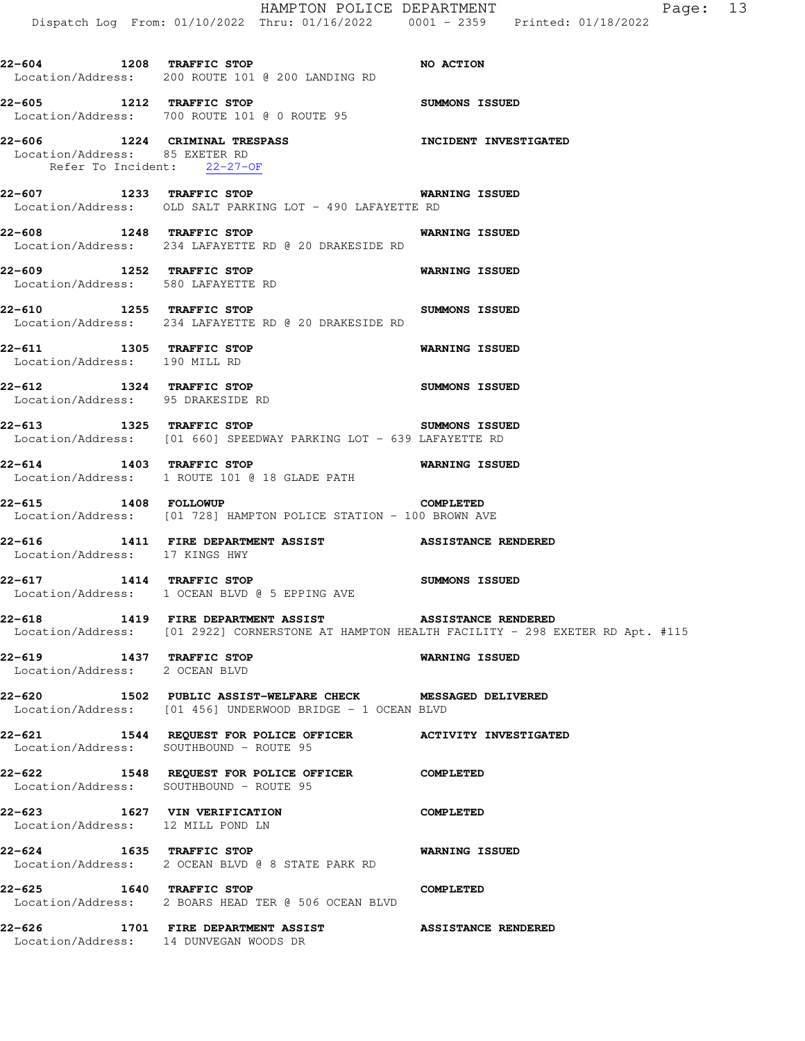HAMPTON POLICE DEPARTMENT Fage: 13 Dispatch Log From: 01/10/2022 Thru: 01/16/2022 0001 - 2359 Printed: 01/18/2022 **22-604 1208 TRAFFIC STOP NO ACTION**  Location/Address: 200 ROUTE 101 @ 200 LANDING RD **22-605 1212 TRAFFIC STOP SUMMONS ISSUED**  Location/Address: 700 ROUTE 101 @ 0 ROUTE 95 **22-606 1224 CRIMINAL TRESPASS INCIDENT INVESTIGATED**  Location/Address: 85 EXETER RD Refer To Incident: 22-27-OF **22-607 1233 TRAFFIC STOP WARNING ISSUED**  Location/Address: OLD SALT PARKING LOT - 490 LAFAYETTE RD **22-608 1248 TRAFFIC STOP WARNING ISSUED**  Location/Address: 234 LAFAYETTE RD @ 20 DRAKESIDE RD **22-609 1252 TRAFFIC STOP WARNING ISSUED**  Location/Address: 580 LAFAYETTE RD **22-610 1255 TRAFFIC STOP SUMMONS ISSUED**  Location/Address: 234 LAFAYETTE RD @ 20 DRAKESIDE RD **22-611 1305 TRAFFIC STOP WARNING ISSUED**  Location/Address: 190 MILL RD **22-612 1324 TRAFFIC STOP SUMMONS ISSUED**  Location/Address: 95 DRAKESIDE RD **22-613 1325 TRAFFIC STOP SUMMONS ISSUED**  Location/Address: [01 660] SPEEDWAY PARKING LOT - 639 LAFAYETTE RD **22-614 1403 TRAFFIC STOP WARNING ISSUED**  Location/Address: 1 ROUTE 101 @ 18 GLADE PATH **22-615 1408 FOLLOWUP COMPLETED**  Location/Address: [01 728] HAMPTON POLICE STATION - 100 BROWN AVE **22-616 1411 FIRE DEPARTMENT ASSIST ASSISTANCE RENDERED**  Location/Address: 17 KINGS HWY **22-617 1414 TRAFFIC STOP SUMMONS ISSUED**  Location/Address: 1 OCEAN BLVD @ 5 EPPING AVE **22-618 1419 FIRE DEPARTMENT ASSIST ASSISTANCE RENDERED**  Location/Address: [01 2922] CORNERSTONE AT HAMPTON HEALTH FACILITY - 298 EXETER RD Apt. #115 **22-619 1437 TRAFFIC STOP WARNING ISSUED**  Location/Address: 2 OCEAN BLVD **22-620 1502 PUBLIC ASSIST-WELFARE CHECK MESSAGED DELIVERED**  Location/Address: [01 456] UNDERWOOD BRIDGE - 1 OCEAN BLVD **22-621 1544 REQUEST FOR POLICE OFFICER ACTIVITY INVESTIGATED**  Location/Address: SOUTHBOUND - ROUTE 95 **22-622 1548 REQUEST FOR POLICE OFFICER COMPLETED**  Location/Address: SOUTHBOUND - ROUTE 95 **22-623 1627 VIN VERIFICATION COMPLETED**  Location/Address: 12 MILL POND LN **22-624 1635 TRAFFIC STOP WARNING ISSUED**  Location/Address: 2 OCEAN BLVD @ 8 STATE PARK RD **22-625 1640 TRAFFIC STOP COMPLETED**  Location/Address: 2 BOARS HEAD TER @ 506 OCEAN BLVD **22-626 1701 FIRE DEPARTMENT ASSIST ASSISTANCE RENDERED**  Location/Address: 14 DUNVEGAN WOODS DR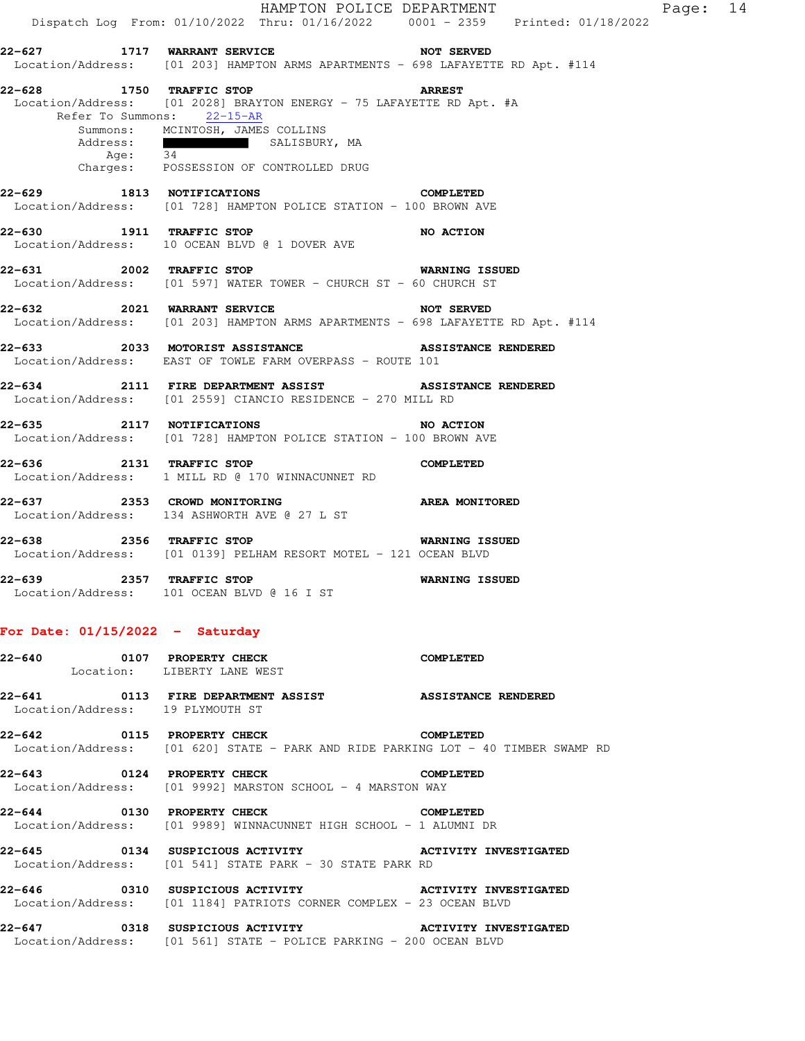HAMPTON POLICE DEPARTMENT Fage: 14 Dispatch Log From: 01/10/2022 Thru: 01/16/2022 0001 - 2359 Printed: 01/18/2022 **22-627 1717 WARRANT SERVICE NOT SERVED**  Location/Address: [01 203] HAMPTON ARMS APARTMENTS - 698 LAFAYETTE RD Apt. #114 **22-628 1750 TRAFFIC STOP ARREST**  Location/Address: [01 2028] BRAYTON ENERGY - 75 LAFAYETTE RD Apt. #A Refer To Summons: 22-15-AR Summons: MCINTOSH, JAMES COLLINS<br>Address: SALISBUR SALISBURY, MA Age: 34 Charges: POSSESSION OF CONTROLLED DRUG **22-629 1813 NOTIFICATIONS COMPLETED**  Location/Address: [01 728] HAMPTON POLICE STATION - 100 BROWN AVE **22-630 1911 TRAFFIC STOP 121 NO ACTION**  Location/Address: 10 OCEAN BLVD @ 1 DOVER AVE **22-631 2002 TRAFFIC STOP WARNING ISSUED**  Location/Address: [01 597] WATER TOWER - CHURCH ST - 60 CHURCH ST **22-632 2021 WARRANT SERVICE NOT SERVED**  Location/Address: [01 203] HAMPTON ARMS APARTMENTS - 698 LAFAYETTE RD Apt. #114 **22-633 2033 MOTORIST ASSISTANCE ASSISTANCE RENDERED**  Location/Address: EAST OF TOWLE FARM OVERPASS - ROUTE 101 **22-634 2111 FIRE DEPARTMENT ASSIST ASSISTANCE RENDERED**  Location/Address: [01 2559] CIANCIO RESIDENCE - 270 MILL RD **22-635 2117 NOTIFICATIONS NO ACTION**  Location/Address: [01 728] HAMPTON POLICE STATION - 100 BROWN AVE **22-636 2131 TRAFFIC STOP COMPLETED**  Location/Address: 1 MILL RD @ 170 WINNACUNNET RD **22-637 2353 CROWD MONITORING AREA MONITORED**  Location/Address: 134 ASHWORTH AVE @ 27 L ST **22-638 2356 TRAFFIC STOP WARNING ISSUED**  Location/Address: [01 0139] PELHAM RESORT MOTEL - 121 OCEAN BLVD **22-639 2357 TRAFFIC STOP WARNING ISSUED**  Location/Address: 101 OCEAN BLVD @ 16 I ST **For Date: 01/15/2022 - Saturday 22-640 0107 PROPERTY CHECK COMPLETED**  Location: LIBERTY LANE WEST 22-641 0113 FIRE DEPARTMENT ASSIST **ASSISTANCE RENDERED** Location/Address: 19 PLYMOUTH ST

**22-642 0115 PROPERTY CHECK COMPLETED**  Location/Address: [01 620] STATE - PARK AND RIDE PARKING LOT - 40 TIMBER SWAMP RD

**22-643 0124 PROPERTY CHECK COMPLETED**  Location/Address: [01 9992] MARSTON SCHOOL - 4 MARSTON WAY

**22-644 0130 PROPERTY CHECK COMPLETED**  Location/Address: [01 9989] WINNACUNNET HIGH SCHOOL - 1 ALUMNI DR

**22-645 0134 SUSPICIOUS ACTIVITY ACTIVITY INVESTIGATED**  Location/Address: [01 541] STATE PARK - 30 STATE PARK RD

**22-646 0310 SUSPICIOUS ACTIVITY ACTIVITY INVESTIGATED**  Location/Address: [01 1184] PATRIOTS CORNER COMPLEX - 23 OCEAN BLVD

**22-647 0318 SUSPICIOUS ACTIVITY ACTIVITY INVESTIGATED**  Location/Address: [01 561] STATE - POLICE PARKING - 200 OCEAN BLVD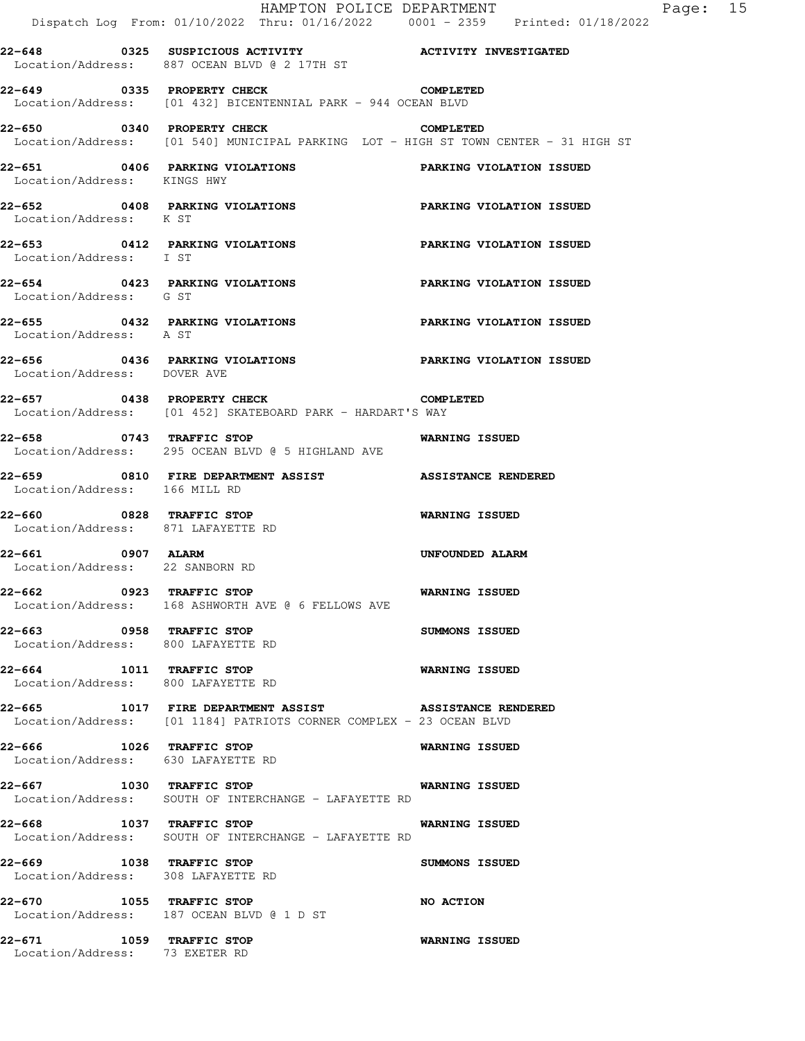|                                                            | HAMPTON POLICE DEPARTMENT<br>Dispatch Log From: 01/10/2022 Thru: 01/16/2022 0001 - 2359 Printed: 01/18/2022                   |                          |
|------------------------------------------------------------|-------------------------------------------------------------------------------------------------------------------------------|--------------------------|
|                                                            | 22-648 0325 SUSPICIOUS ACTIVITY <b>120 ACTIVITY INVESTIGATED</b><br>Location/Address: 887 OCEAN BLVD @ 2 17TH ST              |                          |
| 22-649 0335 PROPERTY CHECK                                 | Location/Address: [01 432] BICENTENNIAL PARK - 944 OCEAN BLVD                                                                 | <b>COMPLETED</b>         |
|                                                            | 22-650 0340 PROPERTY CHECK<br>Location/Address: [01 540] MUNICIPAL PARKING LOT - HIGH ST TOWN CENTER - 31 HIGH ST             | <b>COMPLETED</b>         |
| Location/Address: KINGS HWY                                | 22-651 0406 PARKING VIOLATIONS PARKING VIOLATION ISSUED                                                                       |                          |
| Location/Address: K ST                                     | 22-652 0408 PARKING VIOLATIONS                                                                                                | PARKING VIOLATION ISSUED |
| Location/Address: I ST                                     | 22-653 0412 PARKING VIOLATIONS                                                                                                | PARKING VIOLATION ISSUED |
| Location/Address: G ST                                     | 22-654 0423 PARKING VIOLATIONS                                                                                                | PARKING VIOLATION ISSUED |
| Location/Address: A ST                                     | 22-655 0432 PARKING VIOLATIONS                                                                                                | PARKING VIOLATION ISSUED |
| Location/Address: DOVER AVE                                | 22-656 68 0436 PARKING VIOLATIONS BARKING VIOLATION ISSUED                                                                    |                          |
|                                                            | 22-657 0438 PROPERTY CHECK COMPLETED<br>Location/Address: [01 452] SKATEBOARD PARK - HARDART'S WAY                            |                          |
| 22-658 0743 TRAFFIC STOP                                   | Location/Address: 295 OCEAN BLVD @ 5 HIGHLAND AVE                                                                             | WARNING ISSUED           |
| Location/Address: 166 MILL RD                              | 22-659 0810 FIRE DEPARTMENT ASSIST ASSISTANCE RENDERED                                                                        |                          |
| 22-660 0828 TRAFFIC STOP                                   | Location/Address: 871 LAFAYETTE RD                                                                                            | <b>WARNING ISSUED</b>    |
| 22-661 0907 ALARM<br>Location/Address: 22 SANBORN RD       |                                                                                                                               | UNFOUNDED ALARM          |
| 22-662 0923 TRAFFIC STOP                                   | Location/Address: 168 ASHWORTH AVE @ 6 FELLOWS AVE                                                                            | <b>WARNING ISSUED</b>    |
| 22-663 0958 TRAFFIC STOP                                   | Location/Address: 800 LAFAYETTE RD                                                                                            | <b>SUMMONS ISSUED</b>    |
| 22-664 1011 TRAFFIC STOP                                   | Location/Address: 800 LAFAYETTE RD                                                                                            | <b>WARNING ISSUED</b>    |
|                                                            | 22-665 1017 FIRE DEPARTMENT ASSIST ASSISTANCE RENDERED<br>Location/Address: [01 1184] PATRIOTS CORNER COMPLEX - 23 OCEAN BLVD |                          |
| 22-666 1026 TRAFFIC STOP                                   | Location/Address: 630 LAFAYETTE RD                                                                                            | WARNING ISSUED           |
|                                                            | Location/Address: SOUTH OF INTERCHANGE - LAFAYETTE RD                                                                         |                          |
| 22-668                                                     | 1037 TRAFFIC STOP<br>Location/Address: SOUTH OF INTERCHANGE - LAFAYETTE RD                                                    | WARNING ISSUED           |
|                                                            | 22-669 1038 TRAFFIC STOP<br>Location/Address: 308 LAFAYETTE RD                                                                | SUMMONS ISSUED           |
|                                                            | 22-670 1055 TRAFFIC STOP<br>Location/Address: 187 OCEAN BLVD @ 1 D ST                                                         | <b>NO ACTION</b>         |
| 22-671 1059 TRAFFIC STOP<br>Location/Address: 73 EXETER RD |                                                                                                                               | <b>WARNING ISSUED</b>    |

Page: 15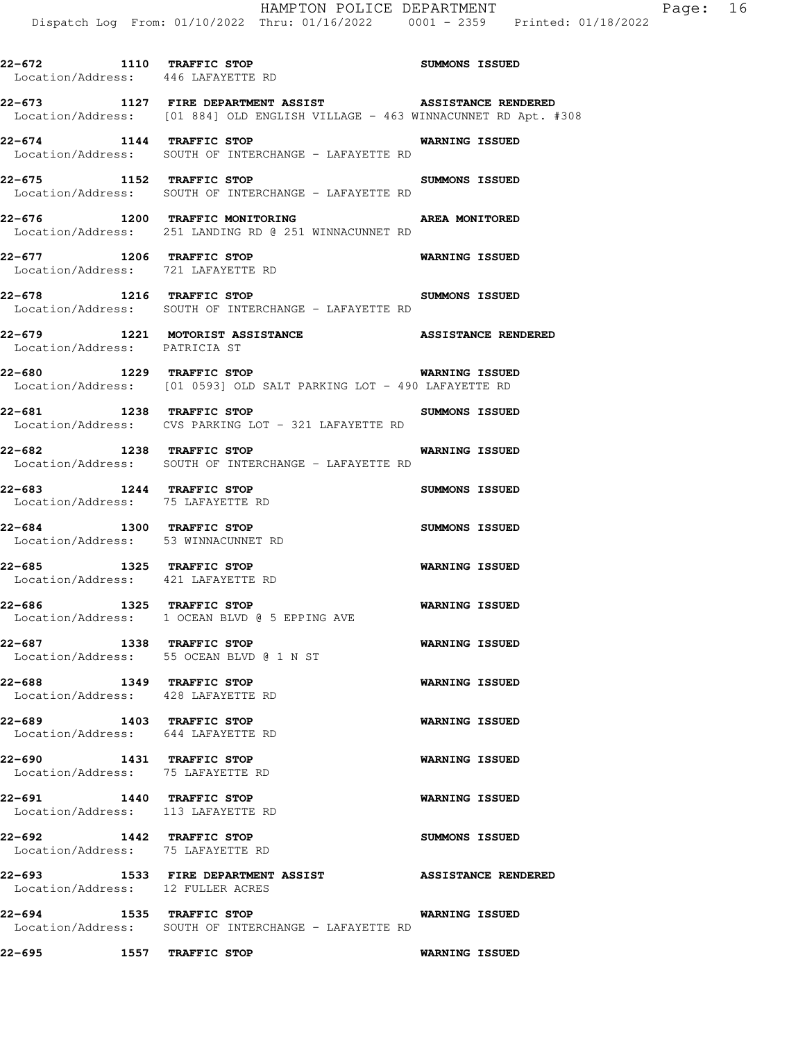|                                                                 | HAMPTON POLICE DEPARTMENT<br>Dispatch Log From: 01/10/2022 Thru: 01/16/2022 0001 - 2359 Printed: 01/18                                  |                       |
|-----------------------------------------------------------------|-----------------------------------------------------------------------------------------------------------------------------------------|-----------------------|
| 22-672 1110 TRAFFIC STOP<br>Location/Address: 446 LAFAYETTE RD  |                                                                                                                                         | SUMMONS ISSUED        |
|                                                                 | 22-673 1127 FIRE DEPARTMENT ASSIST ASSISTANCE RENDERED<br>Location/Address: [01 884] OLD ENGLISH VILLAGE - 463 WINNACUNNET RD Apt. #308 |                       |
| 22-674 1144 TRAFFIC STOP                                        | Location/Address: SOUTH OF INTERCHANGE - LAFAYETTE RD                                                                                   | <b>WARNING ISSUED</b> |
| 22-675 1152 TRAFFIC STOP                                        | Location/Address: SOUTH OF INTERCHANGE - LAFAYETTE RD                                                                                   | SUMMONS ISSUED        |
|                                                                 | 22-676 1200 TRAFFIC MONITORING NERRA MONITORED<br>Location/Address: 251 LANDING RD @ 251 WINNACUNNET RD                                 |                       |
| 22-677 1206 TRAFFIC STOP<br>Location/Address: 721 LAFAYETTE RD  |                                                                                                                                         | <b>WARNING ISSUED</b> |
| 22-678 1216 TRAFFIC STOP                                        | Location/Address: SOUTH OF INTERCHANGE - LAFAYETTE RD                                                                                   | <b>SUMMONS ISSUED</b> |
| Location/Address: PATRICIA ST                                   | 22-679 1221 MOTORIST ASSISTANCE NESSISTANCE RENDERED                                                                                    |                       |
| 1229 TRAFFIC STOP<br>22-680                                     | Location/Address: [01 0593] OLD SALT PARKING LOT - 490 LAFAYETTE RD                                                                     | <b>WARNING ISSUED</b> |
| 22-681 1238 TRAFFIC STOP                                        | Location/Address: CVS PARKING LOT - 321 LAFAYETTE RD                                                                                    | <b>SUMMONS ISSUED</b> |
| 22-682 1238 TRAFFIC STOP                                        | Location/Address: SOUTH OF INTERCHANGE - LAFAYETTE RD                                                                                   | <b>WARNING ISSUED</b> |
| 22-683 1244 TRAFFIC STOP<br>Location/Address: 75 LAFAYETTE RD   |                                                                                                                                         | <b>SUMMONS ISSUED</b> |
| 22-684 1300 TRAFFIC STOP<br>Location/Address: 53 WINNACUNNET RD |                                                                                                                                         | SUMMONS ISSUED        |
| 22-685 1325 TRAFFIC STOP<br>Location/Address: 421 LAFAYETTE RD  |                                                                                                                                         | <b>WARNING ISSUED</b> |
| 1325 TRAFFIC STOP<br>22-686                                     |                                                                                                                                         | <b>WARNING ISSUED</b> |

Location/Address: 1 OCEAN BLVD @ 5 EPPING AVE

**22-687 1338 TRAFFIC STOP WARNING ISSUED**  Location/Address: 55 OCEAN BLVD @ 1 N ST

**22-688 1349 TRAFFIC STOP WARNING ISSUED**  Location/Address: 428 LAFAYETTE RD

**22-689 1403 TRAFFIC STOP WARNING ISSUED**  Location/Address: 644 LAFAYETTE RD

**22-690 1431 TRAFFIC STOP WARNING ISSUED**  Location/Address: 75 LAFAYETTE RD

**22-691 1440 TRAFFIC STOP WARNING ISSUED**  Location/Address: 113 LAFAYETTE RD

**22-692 1442 TRAFFIC STOP SUMMONS ISSUED**  Location/Address: 75 LAFAYETTE RD

**22-693 1533 FIRE DEPARTMENT ASSIST ASSISTANCE RENDERED** 

Location/Address: 12 FULLER ACRES

**22-694 1535 TRAFFIC STOP WARNING ISSUED**  Location/Address: SOUTH OF INTERCHANGE - LAFAYETTE RD

**22-695 1557 TRAFFIC STOP WARNING ISSUED**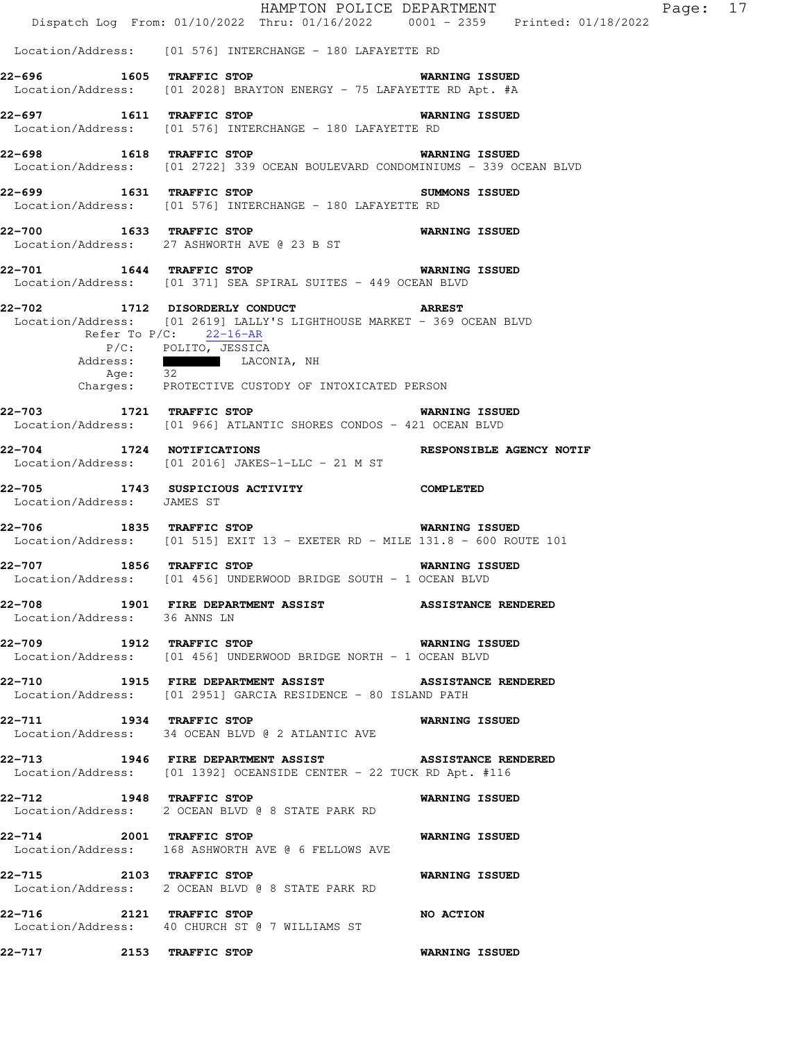|                                                  | Dispatch Log From: 01/10/2022 Thru: 01/16/2022 0001 - 2359 Printed: 01/18/2022                                                                                                                              | HAMPTON POLICE DEPARTMENT | Page: 17 |  |
|--------------------------------------------------|-------------------------------------------------------------------------------------------------------------------------------------------------------------------------------------------------------------|---------------------------|----------|--|
|                                                  | Location/Address: [01 576] INTERCHANGE - 180 LAFAYETTE RD                                                                                                                                                   |                           |          |  |
| 22-696 1605 TRAFFIC STOP                         | Location/Address: [01 2028] BRAYTON ENERGY - 75 LAFAYETTE RD Apt. #A                                                                                                                                        | <b>WARNING ISSUED</b>     |          |  |
|                                                  | 22-697 1611 TRAFFIC STOP 10 WARNING ISSUED<br>Location/Address: [01 576] INTERCHANGE - 180 LAFAYETTE RD                                                                                                     |                           |          |  |
| 22-698 1618 TRAFFIC STOP                         | Location/Address: [01 2722] 339 OCEAN BOULEVARD CONDOMINIUMS - 339 OCEAN BLVD                                                                                                                               | <b>WARNING ISSUED</b>     |          |  |
|                                                  | 22-699 1631 TRAFFIC STOP 3UMMONS ISSUED<br>Location/Address: [01 576] INTERCHANGE - 180 LAFAYETTE RD                                                                                                        |                           |          |  |
| 22-700 1633 TRAFFIC STOP                         | Location/Address: 27 ASHWORTH AVE @ 23 B ST                                                                                                                                                                 | <b>WARNING ISSUED</b>     |          |  |
|                                                  | 22-701 1644 TRAFFIC STOP 6 WARNING ISSUED<br>Location/Address: [01 371] SEA SPIRAL SUITES - 449 OCEAN BLVD                                                                                                  |                           |          |  |
| Refer To $P/C$ : 22-16-AR<br>Address:<br>Age: 32 | 22-702 1712 DISORDERLY CONDUCT ARREST<br>Location/Address: [01 2619] LALLY'S LIGHTHOUSE MARKET - 369 OCEAN BLVD<br>P/C: POLITO, JESSICA<br>LACONIA, NH<br>Charges: PROTECTIVE CUSTODY OF INTOXICATED PERSON |                           |          |  |
|                                                  | 22-703 1721 TRAFFIC STOP 6 WARNING ISSUED<br>Location/Address: [01 966] ATLANTIC SHORES CONDOS - 421 OCEAN BLVD                                                                                             |                           |          |  |
| 22-704 1724 NOTIFICATIONS                        | Location/Address: [01 2016] JAKES-1-LLC - 21 M ST                                                                                                                                                           | RESPONSIBLE AGENCY NOTIF  |          |  |
| Location/Address: JAMES ST                       | 22-705 1743 SUSPICIOUS ACTIVITY COMPLETED                                                                                                                                                                   |                           |          |  |
| 22-706 1835 TRAFFIC STOP                         | Location/Address: $[01\ 515]$ EXIT 13 - EXETER RD - MILE 131.8 - 600 ROUTE 101                                                                                                                              | <b>WARNING ISSUED</b>     |          |  |
|                                                  | 22-707 1856 TRAFFIC STOP 6 WARNING ISSUED<br>Location/Address: [01 456] UNDERWOOD BRIDGE SOUTH - 1 OCEAN BLVD                                                                                               |                           |          |  |
| Location/Address: 36 ANNS LN                     | 22-708 1901 FIRE DEPARTMENT ASSIST ASSISTANCE RENDERED                                                                                                                                                      |                           |          |  |
| 22-709 1912 TRAFFIC STOP                         | <b>WARNING ISSUED</b><br>Location/Address: [01 456] UNDERWOOD BRIDGE NORTH - 1 OCEAN BLVD                                                                                                                   |                           |          |  |
|                                                  | 22-710 1915 FIRE DEPARTMENT ASSIST ASSISTANCE RENDERED<br>Location/Address: [01 2951] GARCIA RESIDENCE - 80 ISLAND PATH                                                                                     |                           |          |  |
|                                                  | 22-711 1934 TRAFFIC STOP 1999 WARNING ISSUED<br>Location/Address: 34 OCEAN BLVD @ 2 ATLANTIC AVE                                                                                                            |                           |          |  |
|                                                  | 22-713 1946 FIRE DEPARTMENT ASSIST ASSISTANCE RENDERED<br>Location/Address: [01 1392] OCEANSIDE CENTER - 22 TUCK RD Apt. #116                                                                               |                           |          |  |
|                                                  | 22-712 1948 TRAFFIC STOP<br>Location/Address: 2 OCEAN BLVD @ 8 STATE PARK RD                                                                                                                                | <b>WARNING ISSUED</b>     |          |  |
| 22-714 2001 TRAFFIC STOP                         | Location/Address: 168 ASHWORTH AVE @ 6 FELLOWS AVE                                                                                                                                                          | <b>WARNING ISSUED</b>     |          |  |
| 22-715 2103 TRAFFIC STOP                         | Location/Address: 2 OCEAN BLVD @ 8 STATE PARK RD                                                                                                                                                            | <b>WARNING ISSUED</b>     |          |  |
| 22-716 2121 TRAFFIC STOP                         | Location/Address: 40 CHURCH ST @ 7 WILLIAMS ST                                                                                                                                                              | <b>NO ACTION</b>          |          |  |
| 22-717 2153 TRAFFIC STOP                         |                                                                                                                                                                                                             | <b>WARNING ISSUED</b>     |          |  |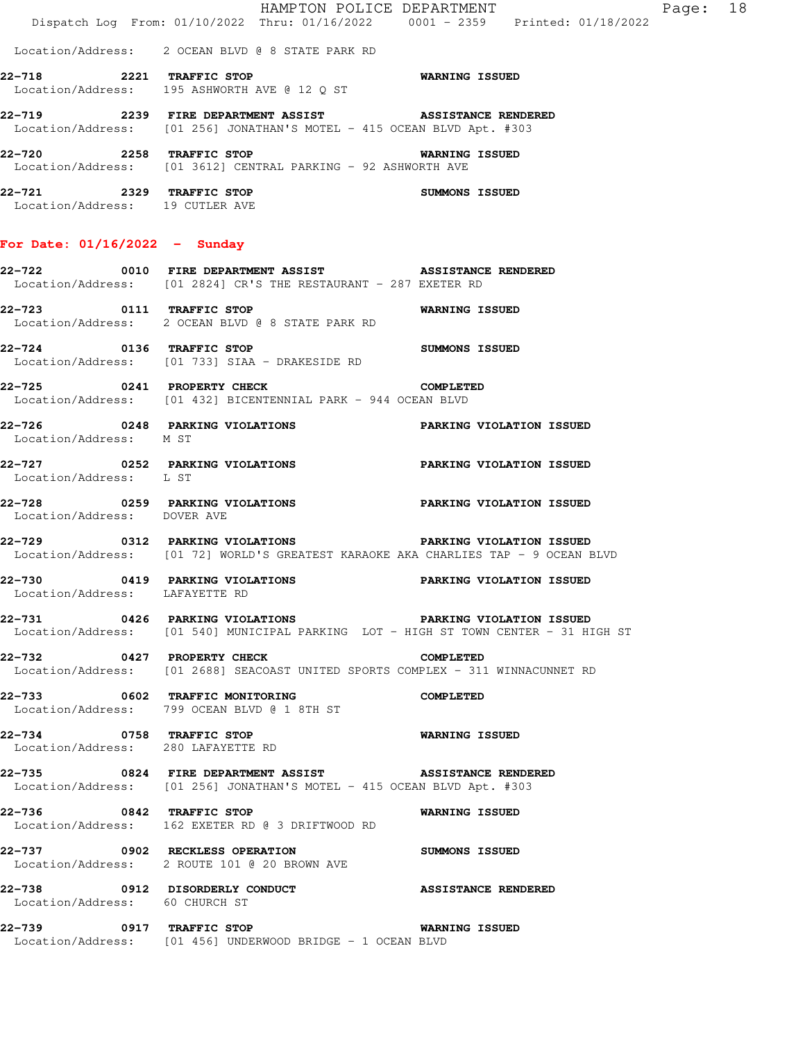| -- --- |      | ---- ------- ----                                                                                       |  |                            |  |       |    |
|--------|------|---------------------------------------------------------------------------------------------------------|--|----------------------------|--|-------|----|
| 22–720 | 2258 | TRAFFIC STOP<br>Location/Address: [01 3612] CENTRAL PARKING - 92 ASHWORTH AVE                           |  | <b>WARNING ISSUED</b>      |  |       |    |
| 22-719 | 2239 | <b>FIRE DEPARTMENT ASSIST</b><br>Location/Address: [01 256] JONATHAN'S MOTEL - 415 OCEAN BLVD Apt. #303 |  | <b>ASSISTANCE RENDERED</b> |  |       |    |
| 22-718 | 2221 | TRAFFIC STOP<br>Location/Address: 195 ASHWORTH AVE @ 12 O ST                                            |  | <b>WARNING ISSUED</b>      |  |       |    |
|        |      | Location/Address: 2 OCEAN BLVD @ 8 STATE PARK RD                                                        |  |                            |  |       |    |
|        |      | Dispatch Log From: 01/10/2022 Thru: 01/16/2022 0001 - 2359 Printed: 01/18/2022                          |  | HAMPTON POLICE DEPARTMENT  |  | Page: | 18 |

**22-721 2329 TRAFFIC STOP SUMMONS ISSUED**  Location/Address: 19 CUTLER AVE

## **For Date: 01/16/2022 - Sunday**

- **22-722 0010 FIRE DEPARTMENT ASSIST ASSISTANCE RENDERED**  Location/Address: [01 2824] CR'S THE RESTAURANT - 287 EXETER RD
- **22-723 0111 TRAFFIC STOP WARNING ISSUED**  Location/Address: 2 OCEAN BLVD @ 8 STATE PARK RD
- **22-724 0136 TRAFFIC STOP SUMMONS ISSUED**  Location/Address: [01 733] SIAA - DRAKESIDE RD
- **22-725 0241 PROPERTY CHECK COMPLETED**  Location/Address: [01 432] BICENTENNIAL PARK - 944 OCEAN BLVD
- **22-726 0248 PARKING VIOLATIONS PARKING VIOLATION ISSUED**  Location/Address: M ST
- **22-727 0252 PARKING VIOLATIONS PARKING VIOLATION ISSUED**  Location/Address: L ST
- **22-728 0259 PARKING VIOLATIONS PARKING VIOLATION ISSUED**  Location/Address: DOVER AVE
- **22-729 0312 PARKING VIOLATIONS PARKING VIOLATION ISSUED**  Location/Address: [01 72] WORLD'S GREATEST KARAOKE AKA CHARLIES TAP - 9 OCEAN BLVD
- **22-730 0419 PARKING VIOLATIONS PARKING VIOLATION ISSUED**  Location/Address: LAFAYETTE RD
- **22-731 0426 PARKING VIOLATIONS PARKING VIOLATION ISSUED**  Location/Address: [01 540] MUNICIPAL PARKING LOT - HIGH ST TOWN CENTER - 31 HIGH ST
- **22-732 0427 PROPERTY CHECK COMPLETED**  Location/Address: [01 2688] SEACOAST UNITED SPORTS COMPLEX - 311 WINNACUNNET RD
- **22-733 0602 TRAFFIC MONITORING COMPLETED**  Location/Address: 799 OCEAN BLVD @ 1 8TH ST
- **22-734 0758 TRAFFIC STOP WARNING ISSUED**  Location/Address: 280 LAFAYETTE RD
- **22-735 0824 FIRE DEPARTMENT ASSIST ASSISTANCE RENDERED**  Location/Address: [01 256] JONATHAN'S MOTEL - 415 OCEAN BLVD Apt. #303
- **22-736 0842 TRAFFIC STOP WARNING ISSUED**  Location/Address: 162 EXETER RD @ 3 DRIFTWOOD RD
- **22-737 0902 RECKLESS OPERATION SUMMONS ISSUED**  Location/Address: 2 ROUTE 101 @ 20 BROWN AVE
- **22-738 0912 DISORDERLY CONDUCT ASSISTANCE RENDERED**  Location/Address: 60 CHURCH ST
- **22-739 0917 TRAFFIC STOP WARNING ISSUED**  Location/Address: [01 456] UNDERWOOD BRIDGE - 1 OCEAN BLVD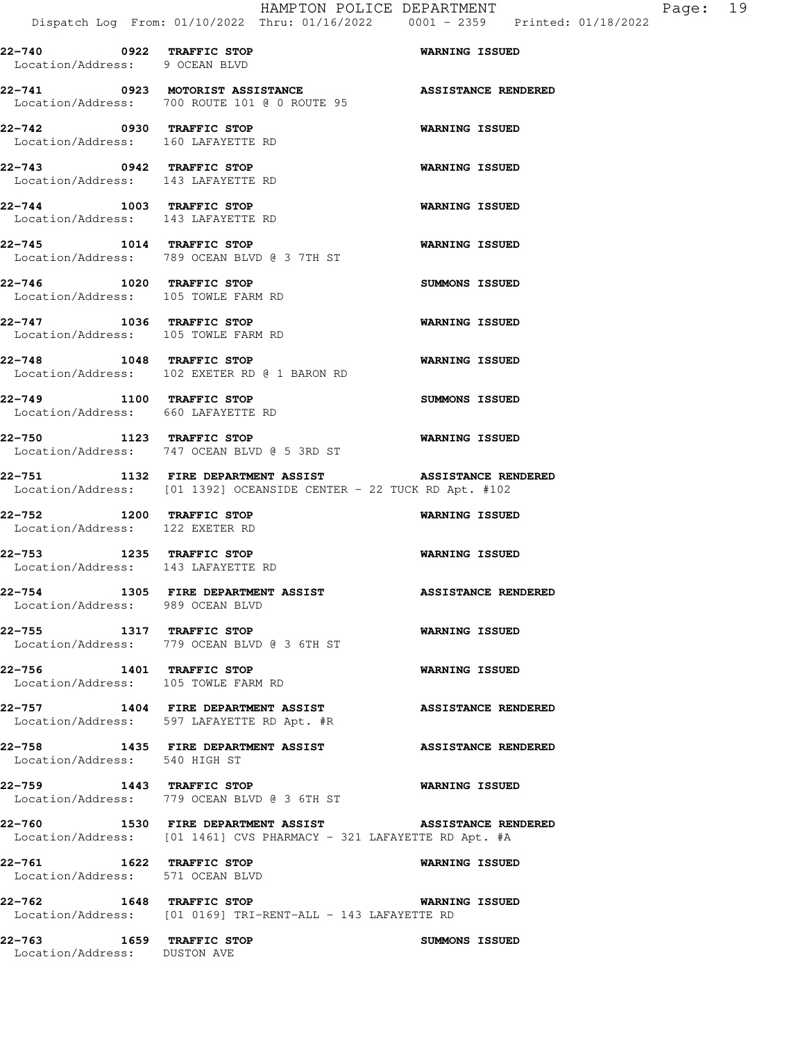**22-743 0942 TRAFFIC STOP WARNING ISSUED**  Location/Address: 143 LAFAYETTE RD **22-744 1003 TRAFFIC STOP WARNING ISSUED**  Location/Address: 143 LAFAYETTE RD

- **22-745 1014 TRAFFIC STOP WARNING ISSUED**  Location/Address: 789 OCEAN BLVD @ 3 7TH ST **22-746 1020 TRAFFIC STOP SUMMONS ISSUED**  Location/Address: 105 TOWLE FARM RD **22-747 1036 TRAFFIC STOP WARNING ISSUED**
- Location/Address: 105 TOWLE FARM RD **22-748 1048 TRAFFIC STOP WARNING ISSUED**  Location/Address: 102 EXETER RD @ 1 BARON RD
- **22-749 1100 TRAFFIC STOP SUMMONS ISSUED**  Location/Address: 660 LAFAYETTE RD **22-750 1123 TRAFFIC STOP WARNING ISSUED**
- Location/Address: 747 OCEAN BLVD @ 5 3RD ST **22-751 1132 FIRE DEPARTMENT ASSIST ASSISTANCE RENDERED**
- Location/Address: [01 1392] OCEANSIDE CENTER 22 TUCK RD Apt. #102
- **22-752 1200 TRAFFIC STOP WARNING ISSUED**  Location/Address: 122 EXETER RD
- **22-753 1235 TRAFFIC STOP WARNING ISSUED**  Location/Address: 143 LAFAYETTE RD
- **22-754 1305 FIRE DEPARTMENT ASSIST ASSISTANCE RENDERED**  Location/Address: 989 OCEAN BLVD
- **22-755 1317 TRAFFIC STOP WARNING ISSUED**  Location/Address: 779 OCEAN BLVD @ 3 6TH ST
- **22-756 1401 TRAFFIC STOP WARNING ISSUED**  Location/Address: 105 TOWLE FARM RD
- **22-757 1404 FIRE DEPARTMENT ASSIST ASSISTANCE RENDERED**  Location/Address: 597 LAFAYETTE RD Apt. #R
- **22-758 1435 FIRE DEPARTMENT ASSIST ASSISTANCE RENDERED**  Location/Address: 540 HIGH ST
- **22-759 1443 TRAFFIC STOP WARNING ISSUED**  Location/Address: 779 OCEAN BLVD @ 3 6TH ST
- **22-760 1530 FIRE DEPARTMENT ASSIST ASSISTANCE RENDERED**  Location/Address: [01 1461] CVS PHARMACY - 321 LAFAYETTE RD Apt. #A
- **22-761 1622 TRAFFIC STOP WARNING ISSUED**  Location/Address: 571 OCEAN BLVD
- **22-762 1648 TRAFFIC STOP WARNING ISSUED**  Location/Address: [01 0169] TRI-RENT-ALL - 143 LAFAYETTE RD
- **22-763 1659 TRAFFIC STOP SUMMONS ISSUED**  Location/Address: DUSTON AVE